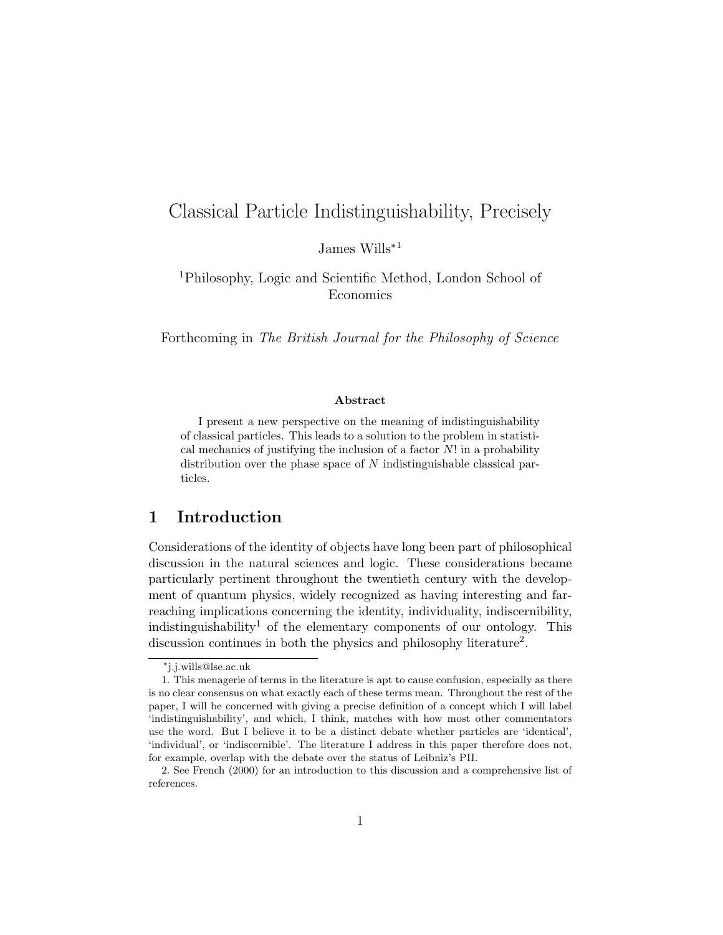# Classical Particle Indistinguishability, Precisely

James Wills<sup>∗</sup><sup>1</sup>

<sup>1</sup>Philosophy, Logic and Scientific Method, London School of Economics

Forthcoming in The British Journal for the Philosophy of Science

#### Abstract

I present a new perspective on the meaning of indistinguishability of classical particles. This leads to a solution to the problem in statistical mechanics of justifying the inclusion of a factor  $N!$  in a probability distribution over the phase space of  $N$  indistinguishable classical particles.

## 1 Introduction

Considerations of the identity of objects have long been part of philosophical discussion in the natural sciences and logic. These considerations became particularly pertinent throughout the twentieth century with the development of quantum physics, widely recognized as having interesting and farreaching implications concerning the identity, individuality, indiscernibility, indistinguishability<sup>1</sup> of the elementary components of our ontology. This discussion continues in both the physics and philosophy literature<sup>2</sup>.

<sup>∗</sup> j.j.wills@lse.ac.uk

<sup>1.</sup> This menagerie of terms in the literature is apt to cause confusion, especially as there is no clear consensus on what exactly each of these terms mean. Throughout the rest of the paper, I will be concerned with giving a precise definition of a concept which I will label 'indistinguishability', and which, I think, matches with how most other commentators use the word. But I believe it to be a distinct debate whether particles are 'identical', 'individual', or 'indiscernible'. The literature I address in this paper therefore does not, for example, overlap with the debate over the status of Leibniz's PII.

<sup>2.</sup> See French (2000) for an introduction to this discussion and a comprehensive list of references.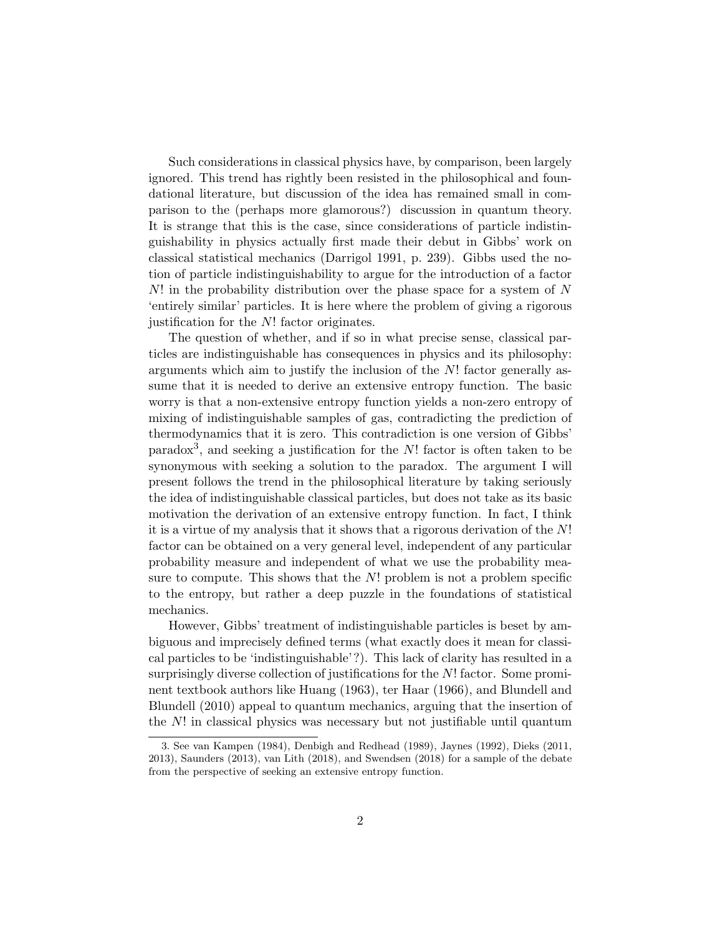Such considerations in classical physics have, by comparison, been largely ignored. This trend has rightly been resisted in the philosophical and foundational literature, but discussion of the idea has remained small in comparison to the (perhaps more glamorous?) discussion in quantum theory. It is strange that this is the case, since considerations of particle indistinguishability in physics actually first made their debut in Gibbs' work on classical statistical mechanics (Darrigol 1991, p. 239). Gibbs used the notion of particle indistinguishability to argue for the introduction of a factor  $N!$  in the probability distribution over the phase space for a system of N 'entirely similar' particles. It is here where the problem of giving a rigorous justification for the N! factor originates.

The question of whether, and if so in what precise sense, classical particles are indistinguishable has consequences in physics and its philosophy: arguments which aim to justify the inclusion of the  $N!$  factor generally assume that it is needed to derive an extensive entropy function. The basic worry is that a non-extensive entropy function yields a non-zero entropy of mixing of indistinguishable samples of gas, contradicting the prediction of thermodynamics that it is zero. This contradiction is one version of Gibbs' paradox<sup>3</sup>, and seeking a justification for the  $N!$  factor is often taken to be synonymous with seeking a solution to the paradox. The argument I will present follows the trend in the philosophical literature by taking seriously the idea of indistinguishable classical particles, but does not take as its basic motivation the derivation of an extensive entropy function. In fact, I think it is a virtue of my analysis that it shows that a rigorous derivation of the N! factor can be obtained on a very general level, independent of any particular probability measure and independent of what we use the probability measure to compute. This shows that the  $N!$  problem is not a problem specific to the entropy, but rather a deep puzzle in the foundations of statistical mechanics.

However, Gibbs' treatment of indistinguishable particles is beset by ambiguous and imprecisely defined terms (what exactly does it mean for classical particles to be 'indistinguishable'?). This lack of clarity has resulted in a surprisingly diverse collection of justifications for the N! factor. Some prominent textbook authors like Huang (1963), ter Haar (1966), and Blundell and Blundell (2010) appeal to quantum mechanics, arguing that the insertion of the  $N!$  in classical physics was necessary but not justifiable until quantum

<sup>3.</sup> See van Kampen (1984), Denbigh and Redhead (1989), Jaynes (1992), Dieks (2011, 2013), Saunders (2013), van Lith (2018), and Swendsen (2018) for a sample of the debate from the perspective of seeking an extensive entropy function.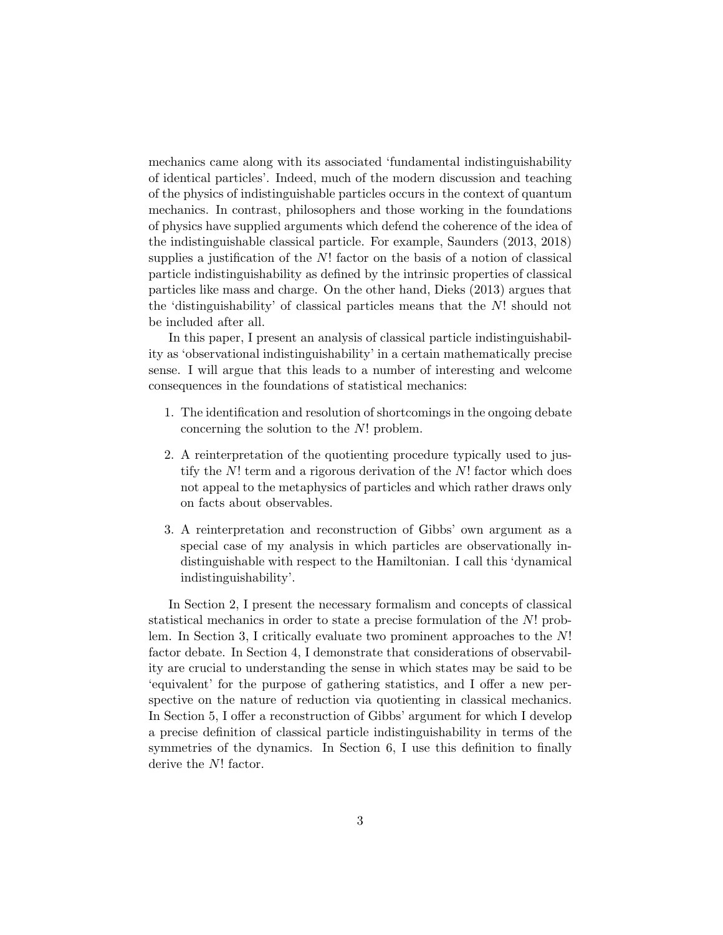mechanics came along with its associated 'fundamental indistinguishability of identical particles'. Indeed, much of the modern discussion and teaching of the physics of indistinguishable particles occurs in the context of quantum mechanics. In contrast, philosophers and those working in the foundations of physics have supplied arguments which defend the coherence of the idea of the indistinguishable classical particle. For example, Saunders (2013, 2018) supplies a justification of the  $N!$  factor on the basis of a notion of classical particle indistinguishability as defined by the intrinsic properties of classical particles like mass and charge. On the other hand, Dieks (2013) argues that the 'distinguishability' of classical particles means that the N! should not be included after all.

In this paper, I present an analysis of classical particle indistinguishability as 'observational indistinguishability' in a certain mathematically precise sense. I will argue that this leads to a number of interesting and welcome consequences in the foundations of statistical mechanics:

- 1. The identification and resolution of shortcomings in the ongoing debate concerning the solution to the N! problem.
- 2. A reinterpretation of the quotienting procedure typically used to justify the N! term and a rigorous derivation of the N! factor which does not appeal to the metaphysics of particles and which rather draws only on facts about observables.
- 3. A reinterpretation and reconstruction of Gibbs' own argument as a special case of my analysis in which particles are observationally indistinguishable with respect to the Hamiltonian. I call this 'dynamical indistinguishability'.

In Section 2, I present the necessary formalism and concepts of classical statistical mechanics in order to state a precise formulation of the N! problem. In Section 3, I critically evaluate two prominent approaches to the N! factor debate. In Section 4, I demonstrate that considerations of observability are crucial to understanding the sense in which states may be said to be 'equivalent' for the purpose of gathering statistics, and I offer a new perspective on the nature of reduction via quotienting in classical mechanics. In Section 5, I offer a reconstruction of Gibbs' argument for which I develop a precise definition of classical particle indistinguishability in terms of the symmetries of the dynamics. In Section 6, I use this definition to finally derive the N! factor.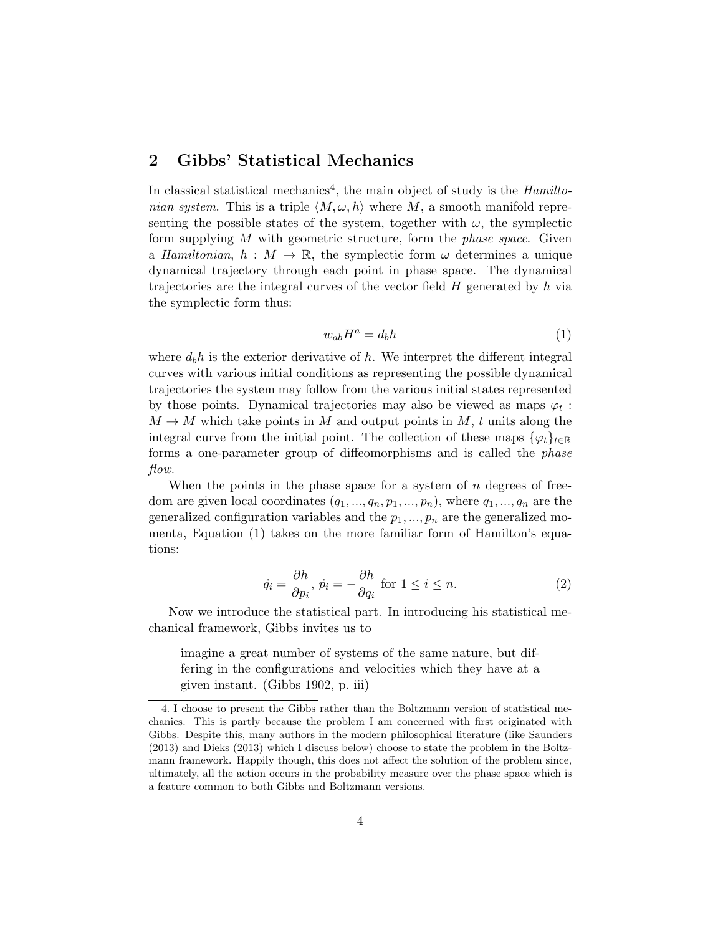## 2 Gibbs' Statistical Mechanics

In classical statistical mechanics<sup>4</sup>, the main object of study is the  $Hamilton$ nian system. This is a triple  $\langle M, \omega, h \rangle$  where M, a smooth manifold representing the possible states of the system, together with  $\omega$ , the symplectic form supplying  $M$  with geometric structure, form the *phase space*. Given a Hamiltonian,  $h : M \to \mathbb{R}$ , the symplectic form  $\omega$  determines a unique dynamical trajectory through each point in phase space. The dynamical trajectories are the integral curves of the vector field H generated by h via the symplectic form thus:

$$
w_{ab}H^a = d_b h \tag{1}
$$

where  $d_h h$  is the exterior derivative of h. We interpret the different integral curves with various initial conditions as representing the possible dynamical trajectories the system may follow from the various initial states represented by those points. Dynamical trajectories may also be viewed as maps  $\varphi_t$ :  $M \to M$  which take points in M and output points in M, t units along the integral curve from the initial point. The collection of these maps  $\{\varphi_t\}_{t\in\mathbb{R}}$ forms a one-parameter group of diffeomorphisms and is called the phase flow.

When the points in the phase space for a system of  $n$  degrees of freedom are given local coordinates  $(q_1, ..., q_n, p_1, ..., p_n)$ , where  $q_1, ..., q_n$  are the generalized configuration variables and the  $p_1, ..., p_n$  are the generalized momenta, Equation (1) takes on the more familiar form of Hamilton's equations:

$$
\dot{q}_i = \frac{\partial h}{\partial p_i}, \ \dot{p}_i = -\frac{\partial h}{\partial q_i} \text{ for } 1 \le i \le n. \tag{2}
$$

Now we introduce the statistical part. In introducing his statistical mechanical framework, Gibbs invites us to

imagine a great number of systems of the same nature, but differing in the configurations and velocities which they have at a given instant. (Gibbs 1902, p. iii)

<sup>4.</sup> I choose to present the Gibbs rather than the Boltzmann version of statistical mechanics. This is partly because the problem I am concerned with first originated with Gibbs. Despite this, many authors in the modern philosophical literature (like Saunders (2013) and Dieks (2013) which I discuss below) choose to state the problem in the Boltzmann framework. Happily though, this does not affect the solution of the problem since, ultimately, all the action occurs in the probability measure over the phase space which is a feature common to both Gibbs and Boltzmann versions.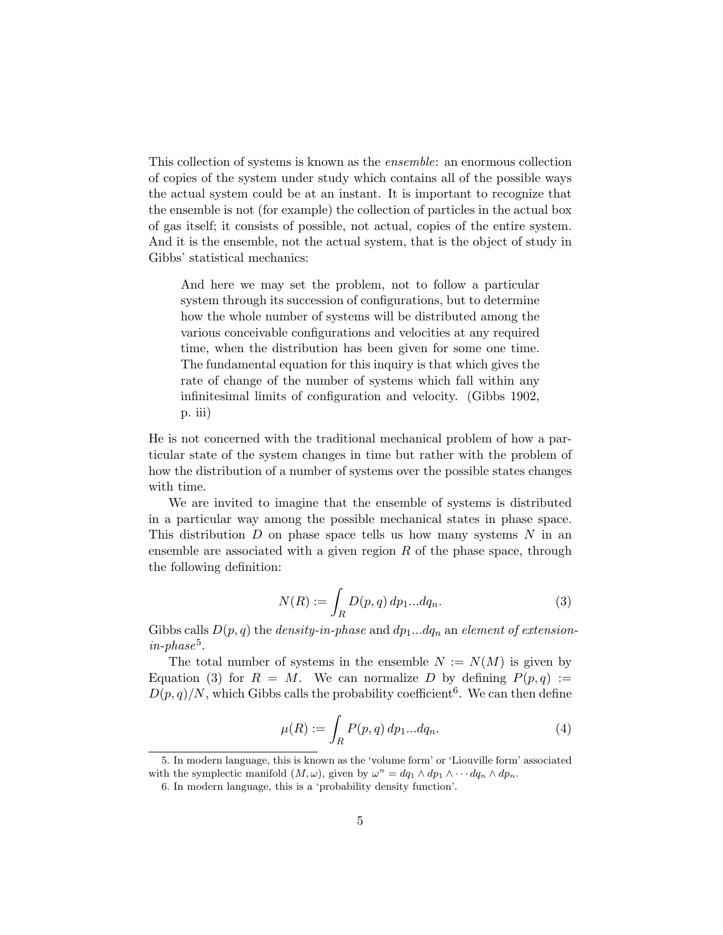This collection of systems is known as the ensemble: an enormous collection of copies of the system under study which contains all of the possible ways the actual system could be at an instant. It is important to recognize that the ensemble is not (for example) the collection of particles in the actual box of gas itself; it consists of possible, not actual, copies of the entire system. And it is the ensemble, not the actual system, that is the object of study in Gibbs' statistical mechanics:

And here we may set the problem, not to follow a particular system through its succession of configurations, but to determine how the whole number of systems will be distributed among the various conceivable configurations and velocities at any required time, when the distribution has been given for some one time. The fundamental equation for this inquiry is that which gives the rate of change of the number of systems which fall within any infinitesimal limits of configuration and velocity. (Gibbs 1902, p. iii)

He is not concerned with the traditional mechanical problem of how a particular state of the system changes in time but rather with the problem of how the distribution of a number of systems over the possible states changes with time.

We are invited to imagine that the ensemble of systems is distributed in a particular way among the possible mechanical states in phase space. This distribution  $D$  on phase space tells us how many systems  $N$  in an ensemble are associated with a given region  $R$  of the phase space, through the following definition:

$$
N(R) := \int_{R} D(p, q) dp_1...dq_n.
$$
 (3)

Gibbs calls  $D(p,q)$  the *density-in-phase* and  $dp_1...dq_n$  an *element of extension* $in$ -phase<sup>5</sup>.

The total number of systems in the ensemble  $N := N(M)$  is given by Equation (3) for  $R = M$ . We can normalize D by defining  $P(p,q) :=$  $D(p,q)/N$ , which Gibbs calls the probability coefficient<sup>6</sup>. We can then define

$$
\mu(R) := \int_R P(p, q) dp_1 \dots dq_n. \tag{4}
$$

<sup>5.</sup> In modern language, this is known as the 'volume form' or 'Liouville form' associated with the symplectic manifold  $(M, \omega)$ , given by  $\omega^n = dq_1 \wedge dp_1 \wedge \cdots dq_n \wedge dp_n$ .

<sup>6.</sup> In modern language, this is a 'probability density function'.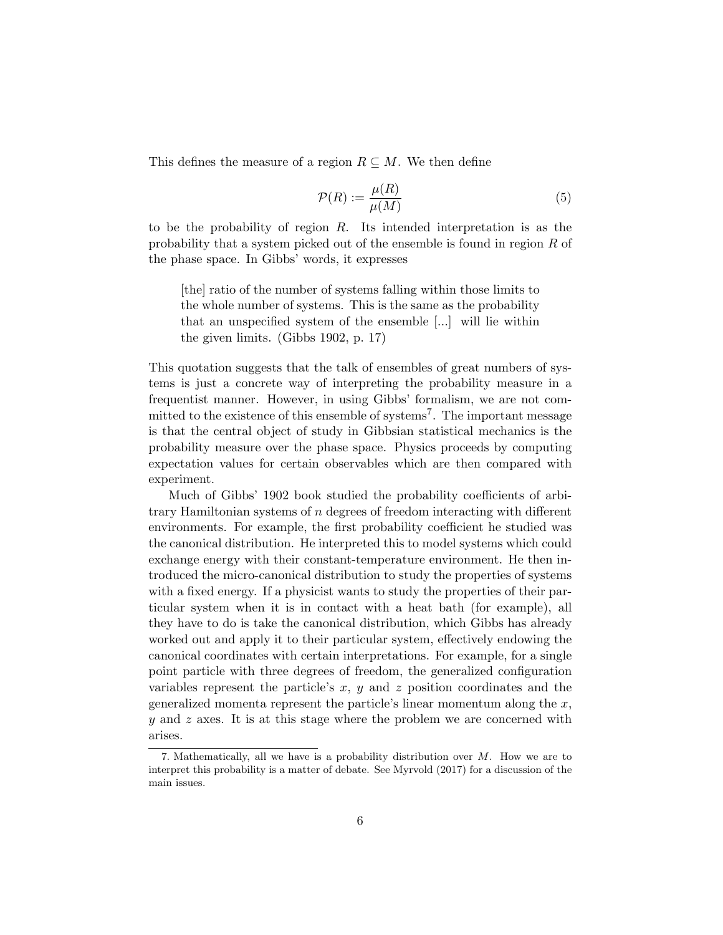This defines the measure of a region  $R \subseteq M$ . We then define

$$
\mathcal{P}(R) := \frac{\mu(R)}{\mu(M)}\tag{5}
$$

to be the probability of region  $R$ . Its intended interpretation is as the probability that a system picked out of the ensemble is found in region R of the phase space. In Gibbs' words, it expresses

[the] ratio of the number of systems falling within those limits to the whole number of systems. This is the same as the probability that an unspecified system of the ensemble [...] will lie within the given limits. (Gibbs 1902, p. 17)

This quotation suggests that the talk of ensembles of great numbers of systems is just a concrete way of interpreting the probability measure in a frequentist manner. However, in using Gibbs' formalism, we are not committed to the existence of this ensemble of systems<sup>7</sup>. The important message is that the central object of study in Gibbsian statistical mechanics is the probability measure over the phase space. Physics proceeds by computing expectation values for certain observables which are then compared with experiment.

Much of Gibbs' 1902 book studied the probability coefficients of arbitrary Hamiltonian systems of  $n$  degrees of freedom interacting with different environments. For example, the first probability coefficient he studied was the canonical distribution. He interpreted this to model systems which could exchange energy with their constant-temperature environment. He then introduced the micro-canonical distribution to study the properties of systems with a fixed energy. If a physicist wants to study the properties of their particular system when it is in contact with a heat bath (for example), all they have to do is take the canonical distribution, which Gibbs has already worked out and apply it to their particular system, effectively endowing the canonical coordinates with certain interpretations. For example, for a single point particle with three degrees of freedom, the generalized configuration variables represent the particle's  $x, y$  and  $z$  position coordinates and the generalized momenta represent the particle's linear momentum along the  $x$ ,  $y$  and z axes. It is at this stage where the problem we are concerned with arises.

<sup>7.</sup> Mathematically, all we have is a probability distribution over M. How we are to interpret this probability is a matter of debate. See Myrvold (2017) for a discussion of the main issues.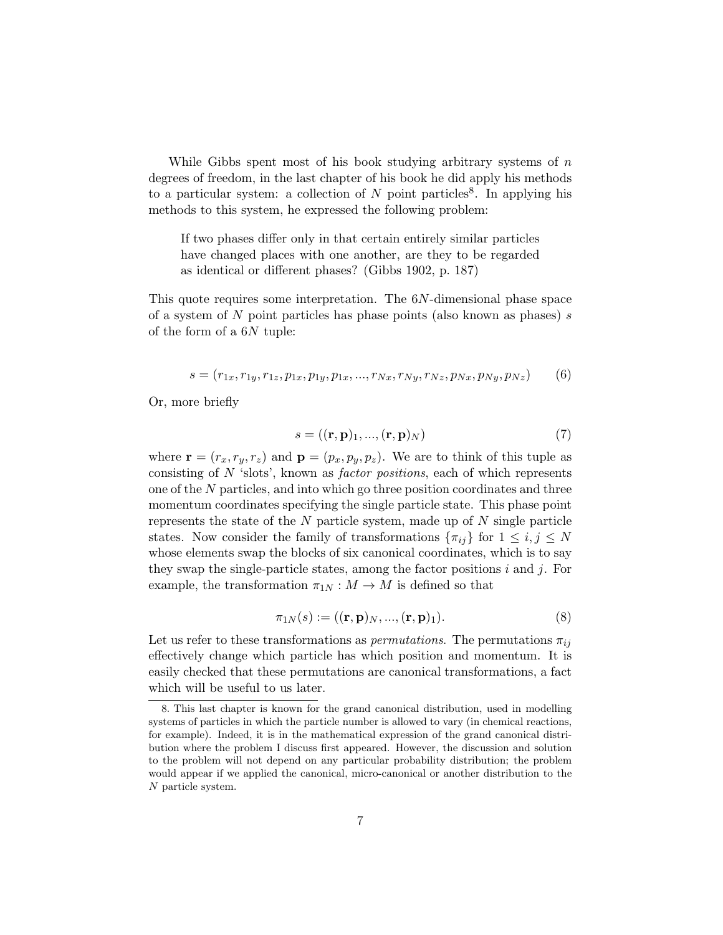While Gibbs spent most of his book studying arbitrary systems of  $n$ degrees of freedom, in the last chapter of his book he did apply his methods to a particular system: a collection of N point particles<sup>8</sup>. In applying his methods to this system, he expressed the following problem:

If two phases differ only in that certain entirely similar particles have changed places with one another, are they to be regarded as identical or different phases? (Gibbs 1902, p. 187)

This quote requires some interpretation. The 6N-dimensional phase space of a system of  $N$  point particles has phase points (also known as phases)  $s$ of the form of a  $6N$  tuple:

$$
s = (r_{1x}, r_{1y}, r_{1z}, p_{1x}, p_{1y}, p_{1x}, ..., r_{Nx}, r_{Ny}, r_{Nz}, p_{Nx}, p_{Ny}, p_{Nz})
$$
(6)

Or, more briefly

$$
s = ((\mathbf{r}, \mathbf{p})_1, ..., (\mathbf{r}, \mathbf{p})_N) \tag{7}
$$

where  $\mathbf{r} = (r_x, r_y, r_z)$  and  $\mathbf{p} = (p_x, p_y, p_z)$ . We are to think of this tuple as consisting of  $N$  'slots', known as *factor positions*, each of which represents one of the N particles, and into which go three position coordinates and three momentum coordinates specifying the single particle state. This phase point represents the state of the  $N$  particle system, made up of  $N$  single particle states. Now consider the family of transformations  $\{\pi_{ij}\}\$ for  $1 \leq i, j \leq N$ whose elements swap the blocks of six canonical coordinates, which is to say they swap the single-particle states, among the factor positions i and j. For example, the transformation  $\pi_{1N}: M \to M$  is defined so that

$$
\pi_{1N}(s) := ((\mathbf{r}, \mathbf{p})_N, ..., (\mathbf{r}, \mathbf{p})_1). \tag{8}
$$

Let us refer to these transformations as *permutations*. The permutations  $\pi_{ij}$ effectively change which particle has which position and momentum. It is easily checked that these permutations are canonical transformations, a fact which will be useful to us later.

<sup>8.</sup> This last chapter is known for the grand canonical distribution, used in modelling systems of particles in which the particle number is allowed to vary (in chemical reactions, for example). Indeed, it is in the mathematical expression of the grand canonical distribution where the problem I discuss first appeared. However, the discussion and solution to the problem will not depend on any particular probability distribution; the problem would appear if we applied the canonical, micro-canonical or another distribution to the N particle system.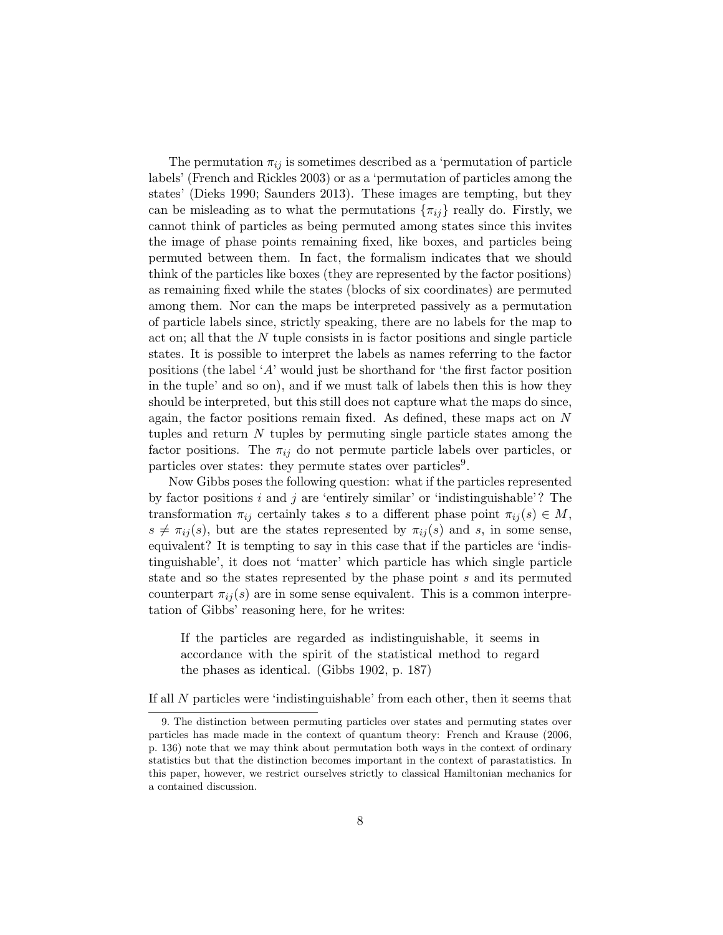The permutation  $\pi_{ij}$  is sometimes described as a 'permutation of particle labels' (French and Rickles 2003) or as a 'permutation of particles among the states' (Dieks 1990; Saunders 2013). These images are tempting, but they can be misleading as to what the permutations  $\{\pi_{ij}\}\$  really do. Firstly, we cannot think of particles as being permuted among states since this invites the image of phase points remaining fixed, like boxes, and particles being permuted between them. In fact, the formalism indicates that we should think of the particles like boxes (they are represented by the factor positions) as remaining fixed while the states (blocks of six coordinates) are permuted among them. Nor can the maps be interpreted passively as a permutation of particle labels since, strictly speaking, there are no labels for the map to act on; all that the N tuple consists in is factor positions and single particle states. It is possible to interpret the labels as names referring to the factor positions (the label 'A' would just be shorthand for 'the first factor position in the tuple' and so on), and if we must talk of labels then this is how they should be interpreted, but this still does not capture what the maps do since, again, the factor positions remain fixed. As defined, these maps act on N tuples and return  $N$  tuples by permuting single particle states among the factor positions. The  $\pi_{ij}$  do not permute particle labels over particles, or particles over states: they permute states over particles<sup>9</sup>.

Now Gibbs poses the following question: what if the particles represented by factor positions  $i$  and  $j$  are 'entirely similar' or 'indistinguishable'? The transformation  $\pi_{ij}$  certainly takes s to a different phase point  $\pi_{ij}(s) \in M$ ,  $s \neq \pi_{ij}(s)$ , but are the states represented by  $\pi_{ij}(s)$  and s, in some sense, equivalent? It is tempting to say in this case that if the particles are 'indistinguishable', it does not 'matter' which particle has which single particle state and so the states represented by the phase point s and its permuted counterpart  $\pi_{ij}(s)$  are in some sense equivalent. This is a common interpretation of Gibbs' reasoning here, for he writes:

If the particles are regarded as indistinguishable, it seems in accordance with the spirit of the statistical method to regard the phases as identical. (Gibbs 1902, p. 187)

If all N particles were 'indistinguishable' from each other, then it seems that

<sup>9.</sup> The distinction between permuting particles over states and permuting states over particles has made made in the context of quantum theory: French and Krause (2006, p. 136) note that we may think about permutation both ways in the context of ordinary statistics but that the distinction becomes important in the context of parastatistics. In this paper, however, we restrict ourselves strictly to classical Hamiltonian mechanics for a contained discussion.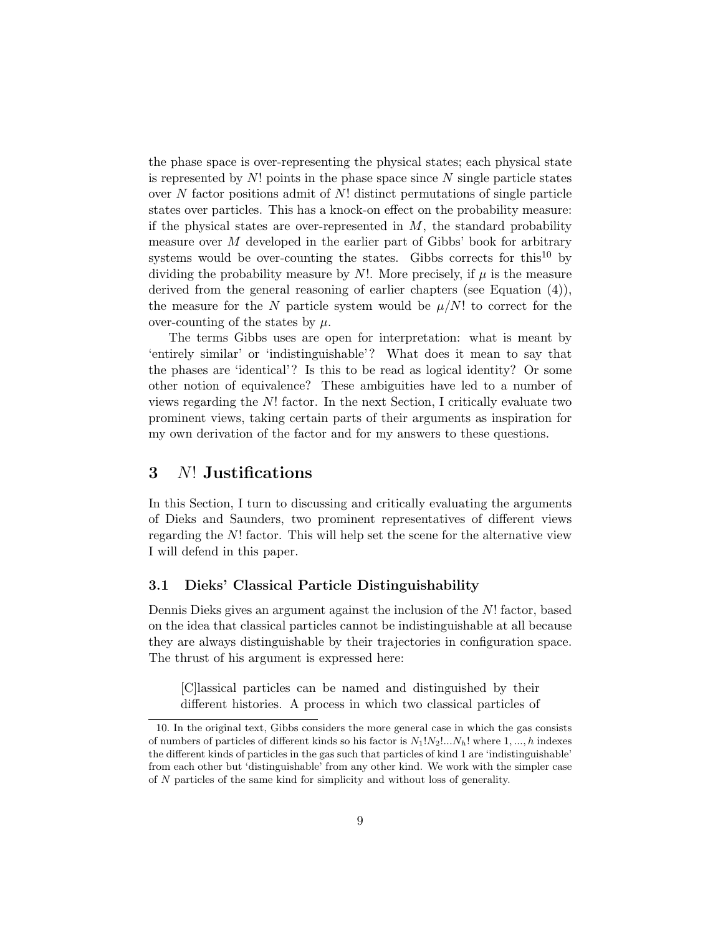the phase space is over-representing the physical states; each physical state is represented by  $N!$  points in the phase space since  $N$  single particle states over  $N$  factor positions admit of  $N!$  distinct permutations of single particle states over particles. This has a knock-on effect on the probability measure: if the physical states are over-represented in  $M$ , the standard probability measure over M developed in the earlier part of Gibbs' book for arbitrary systems would be over-counting the states. Gibbs corrects for this<sup>10</sup> by dividing the probability measure by N!. More precisely, if  $\mu$  is the measure derived from the general reasoning of earlier chapters (see Equation (4)), the measure for the N particle system would be  $\mu/N!$  to correct for the over-counting of the states by  $\mu$ .

The terms Gibbs uses are open for interpretation: what is meant by 'entirely similar' or 'indistinguishable'? What does it mean to say that the phases are 'identical'? Is this to be read as logical identity? Or some other notion of equivalence? These ambiguities have led to a number of views regarding the N! factor. In the next Section, I critically evaluate two prominent views, taking certain parts of their arguments as inspiration for my own derivation of the factor and for my answers to these questions.

### 3 N! Justifications

In this Section, I turn to discussing and critically evaluating the arguments of Dieks and Saunders, two prominent representatives of different views regarding the N! factor. This will help set the scene for the alternative view I will defend in this paper.

#### 3.1 Dieks' Classical Particle Distinguishability

Dennis Dieks gives an argument against the inclusion of the N! factor, based on the idea that classical particles cannot be indistinguishable at all because they are always distinguishable by their trajectories in configuration space. The thrust of his argument is expressed here:

[C]lassical particles can be named and distinguished by their different histories. A process in which two classical particles of

<sup>10.</sup> In the original text, Gibbs considers the more general case in which the gas consists of numbers of particles of different kinds so his factor is  $N_1!N_2!...N_h!$  where 1, ..., h indexes the different kinds of particles in the gas such that particles of kind 1 are 'indistinguishable' from each other but 'distinguishable' from any other kind. We work with the simpler case of N particles of the same kind for simplicity and without loss of generality.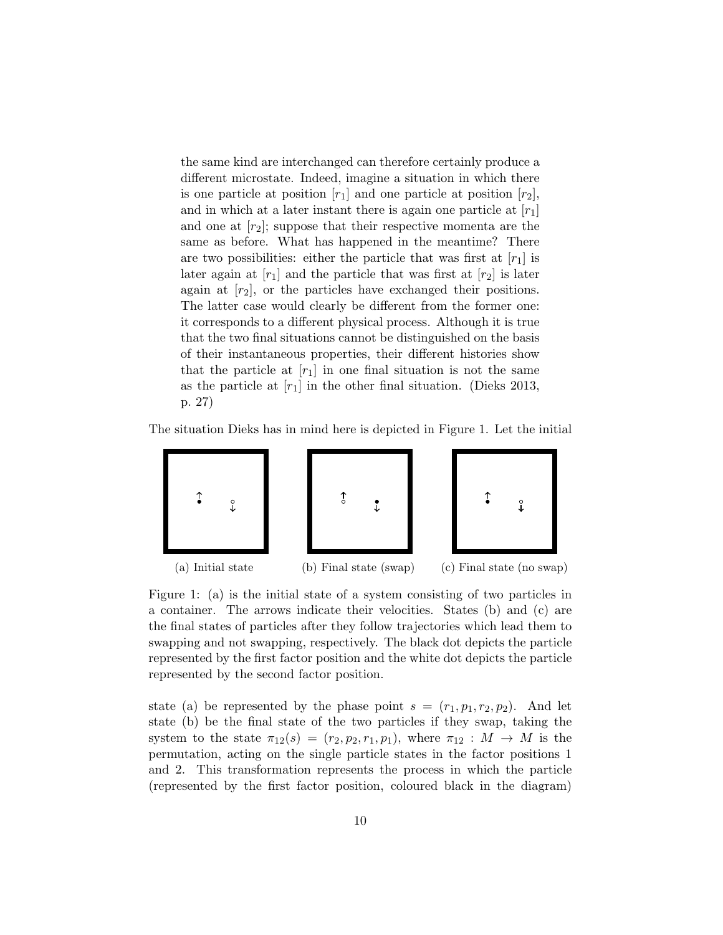the same kind are interchanged can therefore certainly produce a different microstate. Indeed, imagine a situation in which there is one particle at position  $[r_1]$  and one particle at position  $[r_2]$ , and in which at a later instant there is again one particle at  $[r_1]$ and one at  $[r_2]$ ; suppose that their respective momenta are the same as before. What has happened in the meantime? There are two possibilities: either the particle that was first at  $[r_1]$  is later again at  $[r_1]$  and the particle that was first at  $[r_2]$  is later again at  $[r_2]$ , or the particles have exchanged their positions. The latter case would clearly be different from the former one: it corresponds to a different physical process. Although it is true that the two final situations cannot be distinguished on the basis of their instantaneous properties, their different histories show that the particle at  $[r_1]$  in one final situation is not the same as the particle at  $[r_1]$  in the other final situation. (Dieks 2013, p. 27)

The situation Dieks has in mind here is depicted in Figure 1. Let the initial



Figure 1: (a) is the initial state of a system consisting of two particles in a container. The arrows indicate their velocities. States (b) and (c) are the final states of particles after they follow trajectories which lead them to swapping and not swapping, respectively. The black dot depicts the particle represented by the first factor position and the white dot depicts the particle represented by the second factor position.

state (a) be represented by the phase point  $s = (r_1, p_1, r_2, p_2)$ . And let state (b) be the final state of the two particles if they swap, taking the system to the state  $\pi_{12}(s) = (r_2, p_2, r_1, p_1)$ , where  $\pi_{12}: M \rightarrow M$  is the permutation, acting on the single particle states in the factor positions 1 and 2. This transformation represents the process in which the particle (represented by the first factor position, coloured black in the diagram)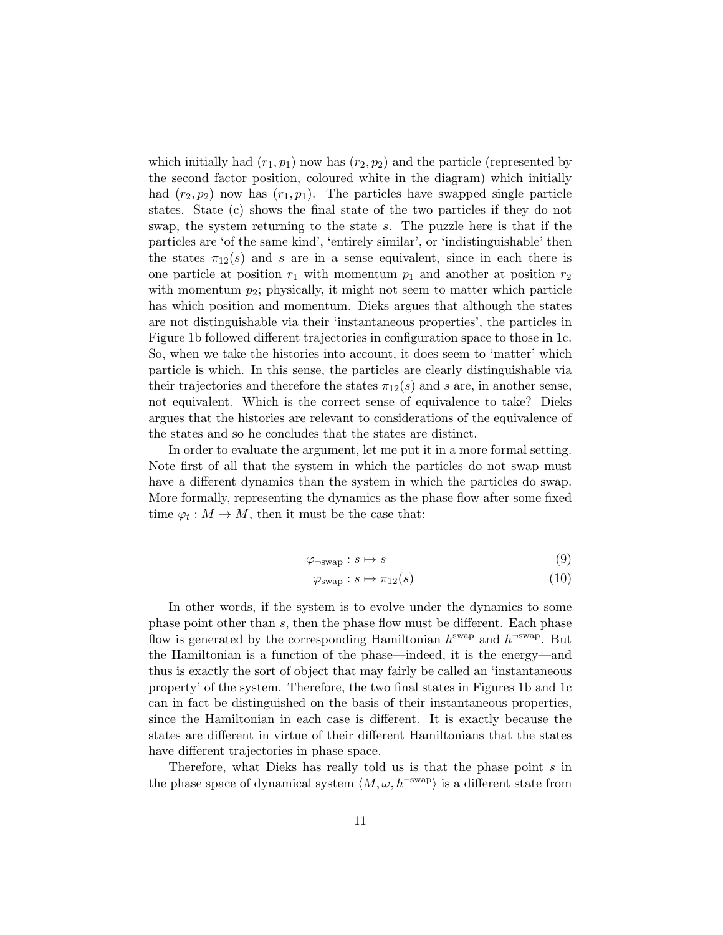which initially had  $(r_1, p_1)$  now has  $(r_2, p_2)$  and the particle (represented by the second factor position, coloured white in the diagram) which initially had  $(r_2, p_2)$  now has  $(r_1, p_1)$ . The particles have swapped single particle states. State (c) shows the final state of the two particles if they do not swap, the system returning to the state s. The puzzle here is that if the particles are 'of the same kind', 'entirely similar', or 'indistinguishable' then the states  $\pi_{12}(s)$  and s are in a sense equivalent, since in each there is one particle at position  $r_1$  with momentum  $p_1$  and another at position  $r_2$ with momentum  $p_2$ ; physically, it might not seem to matter which particle has which position and momentum. Dieks argues that although the states are not distinguishable via their 'instantaneous properties', the particles in Figure 1b followed different trajectories in configuration space to those in 1c. So, when we take the histories into account, it does seem to 'matter' which particle is which. In this sense, the particles are clearly distinguishable via their trajectories and therefore the states  $\pi_{12}(s)$  and s are, in another sense, not equivalent. Which is the correct sense of equivalence to take? Dieks argues that the histories are relevant to considerations of the equivalence of the states and so he concludes that the states are distinct.

In order to evaluate the argument, let me put it in a more formal setting. Note first of all that the system in which the particles do not swap must have a different dynamics than the system in which the particles do swap. More formally, representing the dynamics as the phase flow after some fixed time  $\varphi_t: M \to M$ , then it must be the case that:

$$
\varphi_{\neg \text{swap}} : s \mapsto s \tag{9}
$$

$$
\varphi_{\text{swap}} : s \mapsto \pi_{12}(s) \tag{10}
$$

In other words, if the system is to evolve under the dynamics to some phase point other than s, then the phase flow must be different. Each phase flow is generated by the corresponding Hamiltonian  $h^{\text{swap}}$  and  $h^{\text{-swap}}$ . But the Hamiltonian is a function of the phase—indeed, it is the energy—and thus is exactly the sort of object that may fairly be called an 'instantaneous property' of the system. Therefore, the two final states in Figures 1b and 1c can in fact be distinguished on the basis of their instantaneous properties, since the Hamiltonian in each case is different. It is exactly because the states are different in virtue of their different Hamiltonians that the states have different trajectories in phase space.

Therefore, what Dieks has really told us is that the phase point s in the phase space of dynamical system  $\langle M, \omega, h^{-swap} \rangle$  is a different state from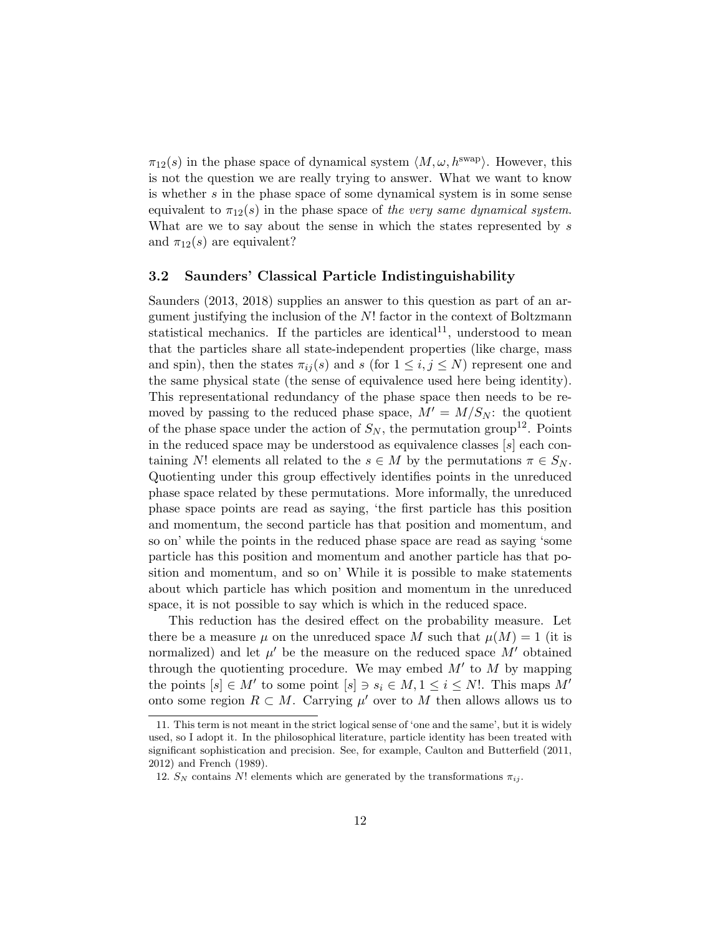$\pi_{12}(s)$  in the phase space of dynamical system  $\langle M, \omega, h^{\text{swap}} \rangle$ . However, this is not the question we are really trying to answer. What we want to know is whether s in the phase space of some dynamical system is in some sense equivalent to  $\pi_{12}(s)$  in the phase space of the very same dynamical system. What are we to say about the sense in which the states represented by s and  $\pi_{12}(s)$  are equivalent?

#### 3.2 Saunders' Classical Particle Indistinguishability

Saunders (2013, 2018) supplies an answer to this question as part of an argument justifying the inclusion of the  $N!$  factor in the context of Boltzmann statistical mechanics. If the particles are identical<sup>11</sup>, understood to mean that the particles share all state-independent properties (like charge, mass and spin), then the states  $\pi_{ij}(s)$  and s (for  $1 \leq i, j \leq N$ ) represent one and the same physical state (the sense of equivalence used here being identity). This representational redundancy of the phase space then needs to be removed by passing to the reduced phase space,  $M' = M/S_N$ : the quotient of the phase space under the action of  $S_N$ , the permutation group<sup>12</sup>. Points in the reduced space may be understood as equivalence classes  $[s]$  each containing N! elements all related to the  $s \in M$  by the permutations  $\pi \in S_N$ . Quotienting under this group effectively identifies points in the unreduced phase space related by these permutations. More informally, the unreduced phase space points are read as saying, 'the first particle has this position and momentum, the second particle has that position and momentum, and so on' while the points in the reduced phase space are read as saying 'some particle has this position and momentum and another particle has that position and momentum, and so on' While it is possible to make statements about which particle has which position and momentum in the unreduced space, it is not possible to say which is which in the reduced space.

This reduction has the desired effect on the probability measure. Let there be a measure  $\mu$  on the unreduced space M such that  $\mu(M) = 1$  (it is normalized) and let  $\mu'$  be the measure on the reduced space  $M'$  obtained through the quotienting procedure. We may embed  $M'$  to  $M$  by mapping the points  $[s] \in M'$  to some point  $[s] \ni s_i \in M, 1 \le i \le N!$ . This maps  $M'$ onto some region  $R \subset M$ . Carrying  $\mu'$  over to M then allows allows us to

<sup>11.</sup> This term is not meant in the strict logical sense of 'one and the same', but it is widely used, so I adopt it. In the philosophical literature, particle identity has been treated with significant sophistication and precision. See, for example, Caulton and Butterfield (2011, 2012) and French (1989).

<sup>12.</sup>  $S_N$  contains N! elements which are generated by the transformations  $\pi_{ii}$ .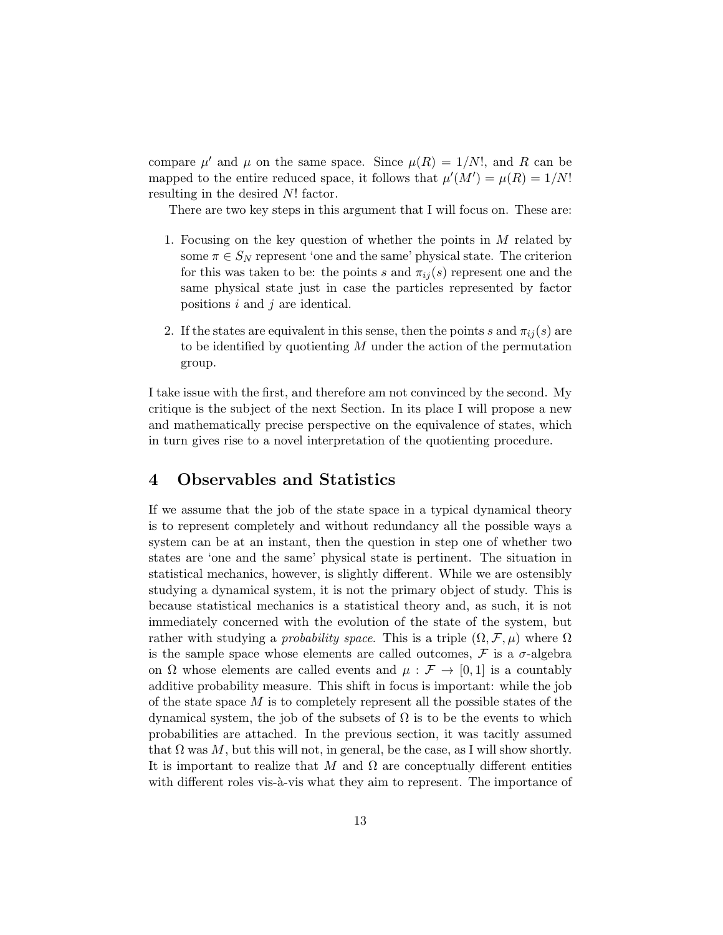compare  $\mu'$  and  $\mu$  on the same space. Since  $\mu(R) = 1/N!$ , and R can be mapped to the entire reduced space, it follows that  $\mu'(M') = \mu(R) = 1/N!$ resulting in the desired N! factor.

There are two key steps in this argument that I will focus on. These are:

- 1. Focusing on the key question of whether the points in  $M$  related by some  $\pi \in S_N$  represent 'one and the same' physical state. The criterion for this was taken to be: the points s and  $\pi_{ij}(s)$  represent one and the same physical state just in case the particles represented by factor positions  $i$  and  $j$  are identical.
- 2. If the states are equivalent in this sense, then the points s and  $\pi_{ij}(s)$  are to be identified by quotienting  $M$  under the action of the permutation group.

I take issue with the first, and therefore am not convinced by the second. My critique is the subject of the next Section. In its place I will propose a new and mathematically precise perspective on the equivalence of states, which in turn gives rise to a novel interpretation of the quotienting procedure.

## 4 Observables and Statistics

If we assume that the job of the state space in a typical dynamical theory is to represent completely and without redundancy all the possible ways a system can be at an instant, then the question in step one of whether two states are 'one and the same' physical state is pertinent. The situation in statistical mechanics, however, is slightly different. While we are ostensibly studying a dynamical system, it is not the primary object of study. This is because statistical mechanics is a statistical theory and, as such, it is not immediately concerned with the evolution of the state of the system, but rather with studying a *probability space*. This is a triple  $(\Omega, \mathcal{F}, \mu)$  where  $\Omega$ is the sample space whose elements are called outcomes,  $\mathcal F$  is a  $\sigma$ -algebra on  $\Omega$  whose elements are called events and  $\mu : \mathcal{F} \to [0, 1]$  is a countably additive probability measure. This shift in focus is important: while the job of the state space  $M$  is to completely represent all the possible states of the dynamical system, the job of the subsets of  $\Omega$  is to be the events to which probabilities are attached. In the previous section, it was tacitly assumed that  $\Omega$  was M, but this will not, in general, be the case, as I will show shortly. It is important to realize that M and  $\Omega$  are conceptually different entities with different roles vis- $\lambda$ -vis what they aim to represent. The importance of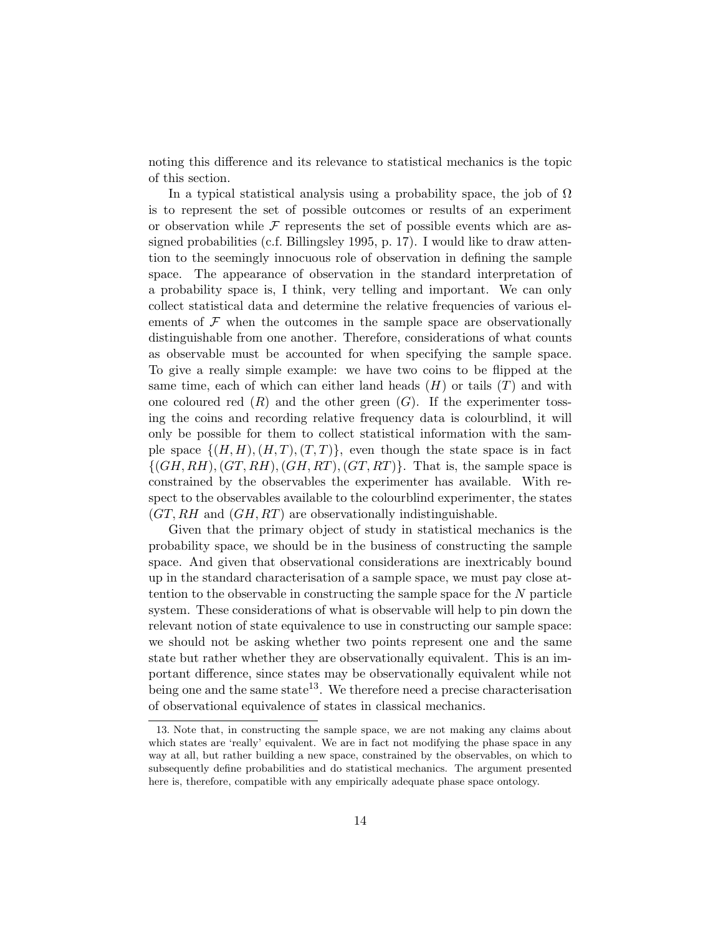noting this difference and its relevance to statistical mechanics is the topic of this section.

In a typical statistical analysis using a probability space, the job of  $\Omega$ is to represent the set of possible outcomes or results of an experiment or observation while  $\mathcal F$  represents the set of possible events which are assigned probabilities (c.f. Billingsley 1995, p. 17). I would like to draw attention to the seemingly innocuous role of observation in defining the sample space. The appearance of observation in the standard interpretation of a probability space is, I think, very telling and important. We can only collect statistical data and determine the relative frequencies of various elements of  $\mathcal F$  when the outcomes in the sample space are observationally distinguishable from one another. Therefore, considerations of what counts as observable must be accounted for when specifying the sample space. To give a really simple example: we have two coins to be flipped at the same time, each of which can either land heads  $(H)$  or tails  $(T)$  and with one coloured red  $(R)$  and the other green  $(G)$ . If the experimenter tossing the coins and recording relative frequency data is colourblind, it will only be possible for them to collect statistical information with the sample space  $\{(H, H), (H, T), (T, T)\}\$ , even though the state space is in fact  $\{(GH, RH), (GT, RH), (GH, RT), (GT, RT)\}.$  That is, the sample space is constrained by the observables the experimenter has available. With respect to the observables available to the colourblind experimenter, the states  $(GT, RH$  and  $(GH, RT)$  are observationally indistinguishable.

Given that the primary object of study in statistical mechanics is the probability space, we should be in the business of constructing the sample space. And given that observational considerations are inextricably bound up in the standard characterisation of a sample space, we must pay close attention to the observable in constructing the sample space for the N particle system. These considerations of what is observable will help to pin down the relevant notion of state equivalence to use in constructing our sample space: we should not be asking whether two points represent one and the same state but rather whether they are observationally equivalent. This is an important difference, since states may be observationally equivalent while not being one and the same state<sup>13</sup>. We therefore need a precise characterisation of observational equivalence of states in classical mechanics.

<sup>13.</sup> Note that, in constructing the sample space, we are not making any claims about which states are 'really' equivalent. We are in fact not modifying the phase space in any way at all, but rather building a new space, constrained by the observables, on which to subsequently define probabilities and do statistical mechanics. The argument presented here is, therefore, compatible with any empirically adequate phase space ontology.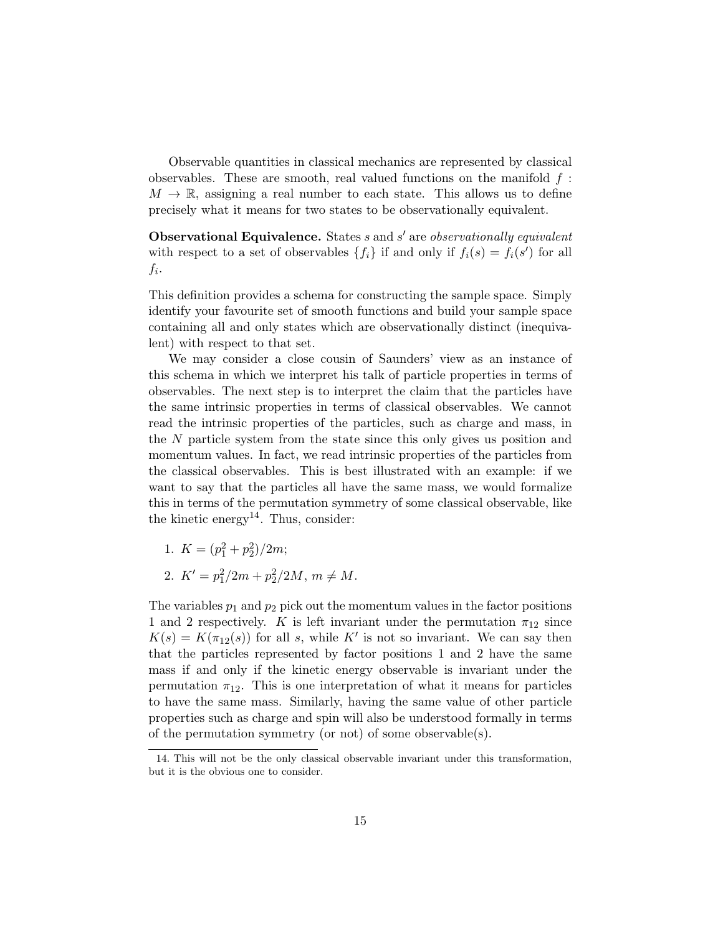Observable quantities in classical mechanics are represented by classical observables. These are smooth, real valued functions on the manifold  $f$ :  $M \to \mathbb{R}$ , assigning a real number to each state. This allows us to define precisely what it means for two states to be observationally equivalent.

Observational Equivalence. States  $s$  and  $s'$  are observationally equivalent with respect to a set of observables  $\{f_i\}$  if and only if  $f_i(s) = f_i(s')$  for all  $f_i$ .

This definition provides a schema for constructing the sample space. Simply identify your favourite set of smooth functions and build your sample space containing all and only states which are observationally distinct (inequivalent) with respect to that set.

We may consider a close cousin of Saunders' view as an instance of this schema in which we interpret his talk of particle properties in terms of observables. The next step is to interpret the claim that the particles have the same intrinsic properties in terms of classical observables. We cannot read the intrinsic properties of the particles, such as charge and mass, in the N particle system from the state since this only gives us position and momentum values. In fact, we read intrinsic properties of the particles from the classical observables. This is best illustrated with an example: if we want to say that the particles all have the same mass, we would formalize this in terms of the permutation symmetry of some classical observable, like the kinetic energy<sup>14</sup>. Thus, consider:

- 1.  $K = (p_1^2 + p_2^2)/2m$ ;
- 2.  $K' = p_1^2/2m + p_2^2/2M, m \neq M$ .

The variables  $p_1$  and  $p_2$  pick out the momentum values in the factor positions 1 and 2 respectively. K is left invariant under the permutation  $\pi_{12}$  since  $K(s) = K(\pi_{12}(s))$  for all s, while K' is not so invariant. We can say then that the particles represented by factor positions 1 and 2 have the same mass if and only if the kinetic energy observable is invariant under the permutation  $\pi_{12}$ . This is one interpretation of what it means for particles to have the same mass. Similarly, having the same value of other particle properties such as charge and spin will also be understood formally in terms of the permutation symmetry (or not) of some observable(s).

<sup>14.</sup> This will not be the only classical observable invariant under this transformation, but it is the obvious one to consider.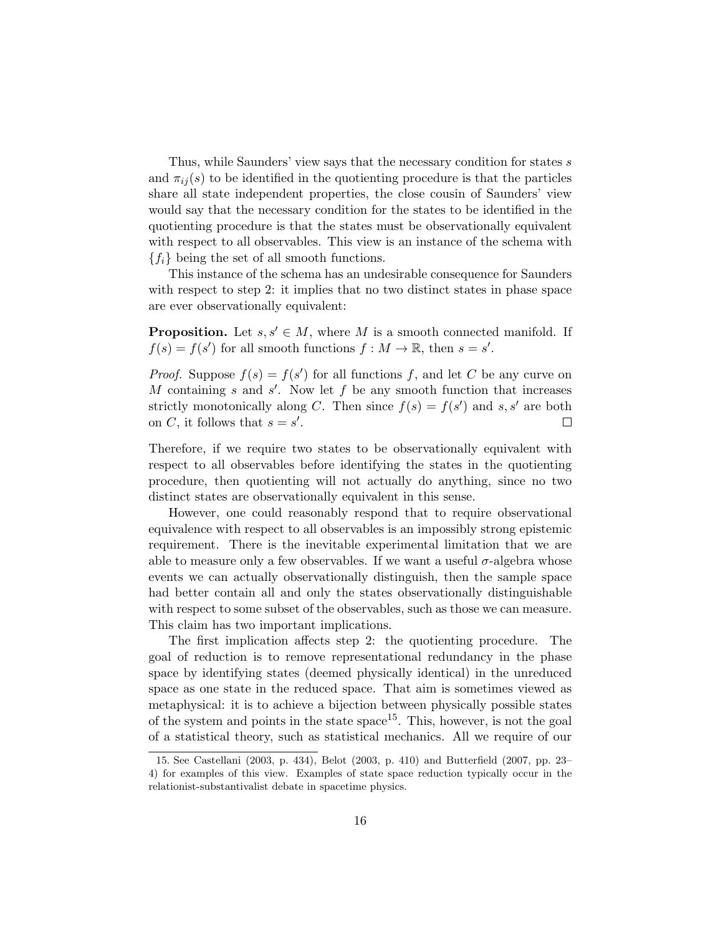Thus, while Saunders' view says that the necessary condition for states s and  $\pi_{ij}(s)$  to be identified in the quotienting procedure is that the particles share all state independent properties, the close cousin of Saunders' view would say that the necessary condition for the states to be identified in the quotienting procedure is that the states must be observationally equivalent with respect to all observables. This view is an instance of the schema with  ${f_i}$  being the set of all smooth functions.

This instance of the schema has an undesirable consequence for Saunders with respect to step 2: it implies that no two distinct states in phase space are ever observationally equivalent:

**Proposition.** Let  $s, s' \in M$ , where M is a smooth connected manifold. If  $f(s) = f(s')$  for all smooth functions  $f : M \to \mathbb{R}$ , then  $s = s'$ .

*Proof.* Suppose  $f(s) = f(s')$  for all functions f, and let C be any curve on M containing  $s$  and  $s'$ . Now let  $f$  be any smooth function that increases strictly monotonically along C. Then since  $f(s) = f(s')$  and s, s' are both on C, it follows that  $s = s'$ .  $\Box$ 

Therefore, if we require two states to be observationally equivalent with respect to all observables before identifying the states in the quotienting procedure, then quotienting will not actually do anything, since no two distinct states are observationally equivalent in this sense.

However, one could reasonably respond that to require observational equivalence with respect to all observables is an impossibly strong epistemic requirement. There is the inevitable experimental limitation that we are able to measure only a few observables. If we want a useful  $\sigma$ -algebra whose events we can actually observationally distinguish, then the sample space had better contain all and only the states observationally distinguishable with respect to some subset of the observables, such as those we can measure. This claim has two important implications.

The first implication affects step 2: the quotienting procedure. The goal of reduction is to remove representational redundancy in the phase space by identifying states (deemed physically identical) in the unreduced space as one state in the reduced space. That aim is sometimes viewed as metaphysical: it is to achieve a bijection between physically possible states of the system and points in the state  $space^{15}$ . This, however, is not the goal of a statistical theory, such as statistical mechanics. All we require of our

<sup>15.</sup> See Castellani (2003, p. 434), Belot (2003, p. 410) and Butterfield (2007, pp. 23– 4) for examples of this view. Examples of state space reduction typically occur in the relationist-substantivalist debate in spacetime physics.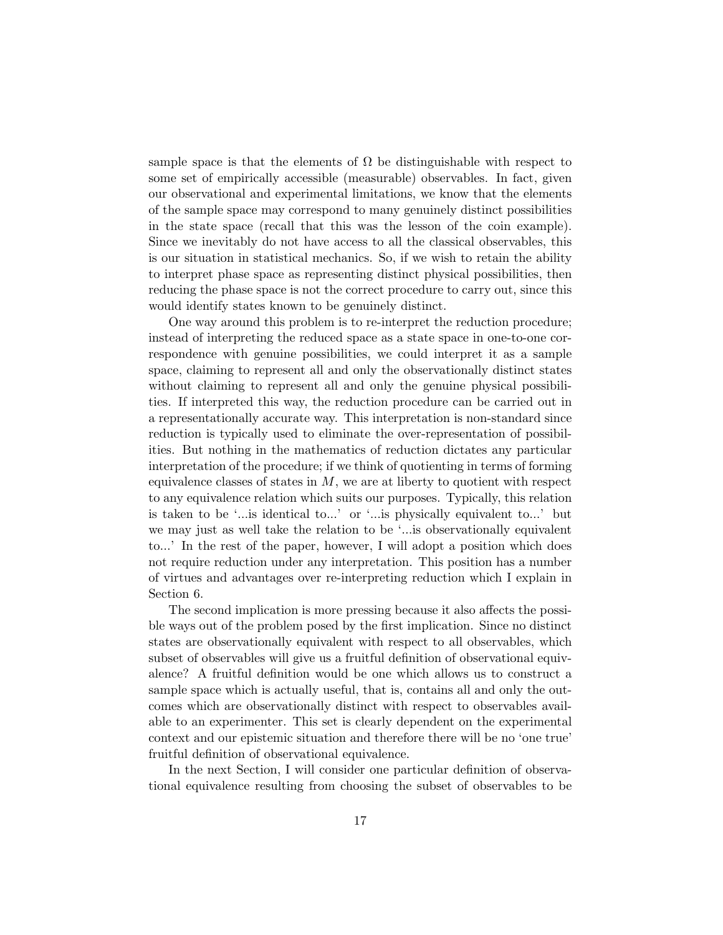sample space is that the elements of  $\Omega$  be distinguishable with respect to some set of empirically accessible (measurable) observables. In fact, given our observational and experimental limitations, we know that the elements of the sample space may correspond to many genuinely distinct possibilities in the state space (recall that this was the lesson of the coin example). Since we inevitably do not have access to all the classical observables, this is our situation in statistical mechanics. So, if we wish to retain the ability to interpret phase space as representing distinct physical possibilities, then reducing the phase space is not the correct procedure to carry out, since this would identify states known to be genuinely distinct.

One way around this problem is to re-interpret the reduction procedure; instead of interpreting the reduced space as a state space in one-to-one correspondence with genuine possibilities, we could interpret it as a sample space, claiming to represent all and only the observationally distinct states without claiming to represent all and only the genuine physical possibilities. If interpreted this way, the reduction procedure can be carried out in a representationally accurate way. This interpretation is non-standard since reduction is typically used to eliminate the over-representation of possibilities. But nothing in the mathematics of reduction dictates any particular interpretation of the procedure; if we think of quotienting in terms of forming equivalence classes of states in  $M$ , we are at liberty to quotient with respect to any equivalence relation which suits our purposes. Typically, this relation is taken to be '...is identical to...' or '...is physically equivalent to...' but we may just as well take the relation to be '...is observationally equivalent to...' In the rest of the paper, however, I will adopt a position which does not require reduction under any interpretation. This position has a number of virtues and advantages over re-interpreting reduction which I explain in Section 6.

The second implication is more pressing because it also affects the possible ways out of the problem posed by the first implication. Since no distinct states are observationally equivalent with respect to all observables, which subset of observables will give us a fruitful definition of observational equivalence? A fruitful definition would be one which allows us to construct a sample space which is actually useful, that is, contains all and only the outcomes which are observationally distinct with respect to observables available to an experimenter. This set is clearly dependent on the experimental context and our epistemic situation and therefore there will be no 'one true' fruitful definition of observational equivalence.

In the next Section, I will consider one particular definition of observational equivalence resulting from choosing the subset of observables to be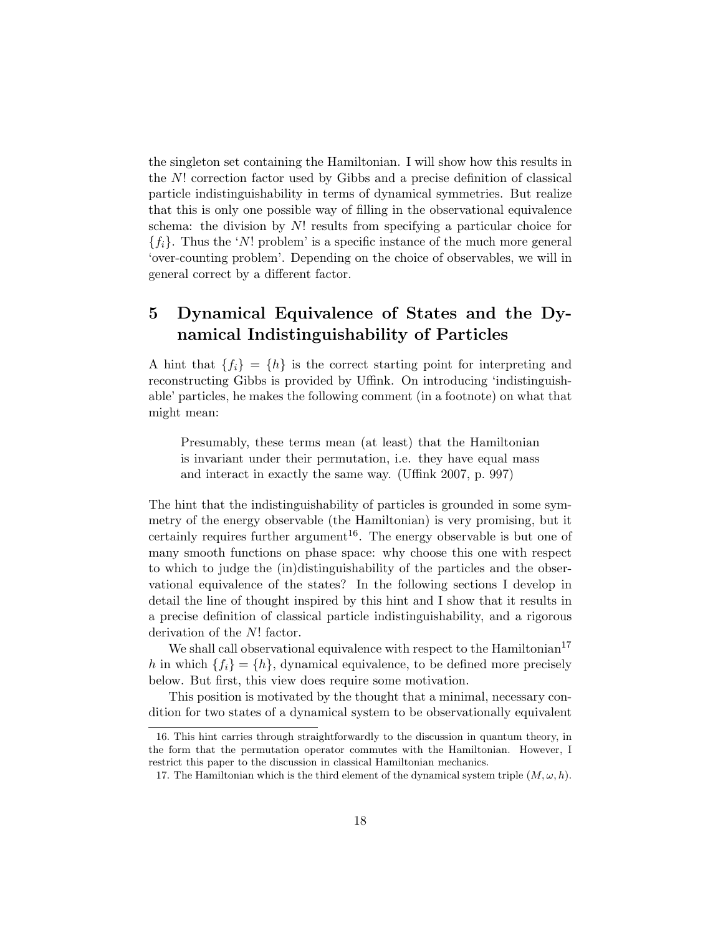the singleton set containing the Hamiltonian. I will show how this results in the N! correction factor used by Gibbs and a precise definition of classical particle indistinguishability in terms of dynamical symmetries. But realize that this is only one possible way of filling in the observational equivalence schema: the division by N! results from specifying a particular choice for  ${f_i}$ . Thus the 'N! problem' is a specific instance of the much more general 'over-counting problem'. Depending on the choice of observables, we will in general correct by a different factor.

# 5 Dynamical Equivalence of States and the Dynamical Indistinguishability of Particles

A hint that  ${f_i} = {h}$  is the correct starting point for interpreting and reconstructing Gibbs is provided by Uffink. On introducing 'indistinguishable' particles, he makes the following comment (in a footnote) on what that might mean:

Presumably, these terms mean (at least) that the Hamiltonian is invariant under their permutation, i.e. they have equal mass and interact in exactly the same way. (Uffink 2007, p. 997)

The hint that the indistinguishability of particles is grounded in some symmetry of the energy observable (the Hamiltonian) is very promising, but it certainly requires further argument<sup>16</sup>. The energy observable is but one of many smooth functions on phase space: why choose this one with respect to which to judge the (in)distinguishability of the particles and the observational equivalence of the states? In the following sections I develop in detail the line of thought inspired by this hint and I show that it results in a precise definition of classical particle indistinguishability, and a rigorous derivation of the N! factor.

We shall call observational equivalence with respect to the  $\text{Hamiltonian}^{17}$ h in which  ${f_i} = {h}$ , dynamical equivalence, to be defined more precisely below. But first, this view does require some motivation.

This position is motivated by the thought that a minimal, necessary condition for two states of a dynamical system to be observationally equivalent

<sup>16.</sup> This hint carries through straightforwardly to the discussion in quantum theory, in the form that the permutation operator commutes with the Hamiltonian. However, I restrict this paper to the discussion in classical Hamiltonian mechanics.

<sup>17.</sup> The Hamiltonian which is the third element of the dynamical system triple  $(M, \omega, h)$ .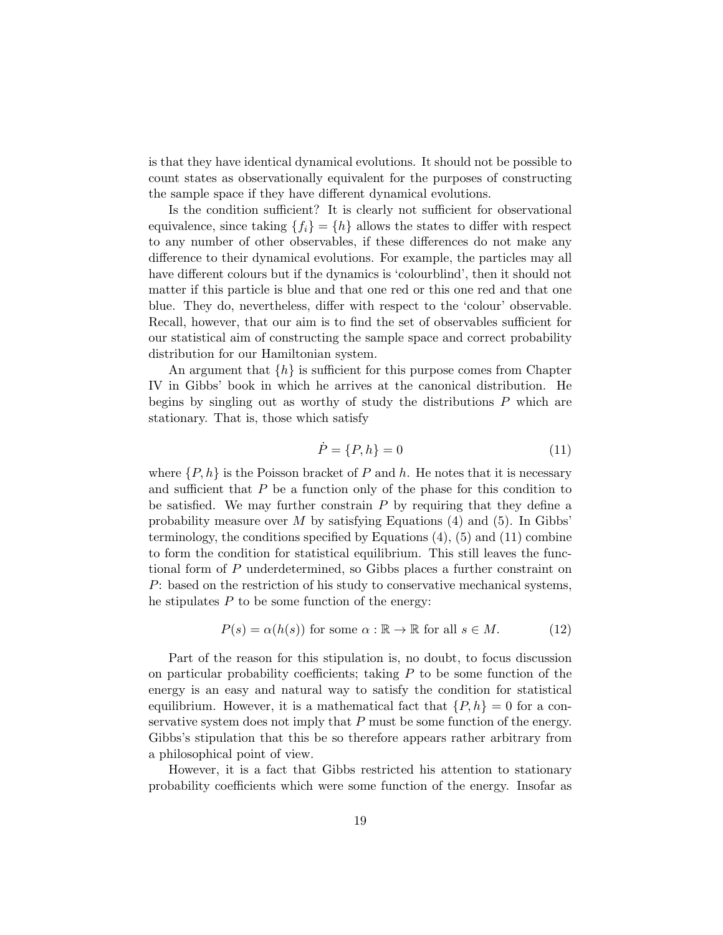is that they have identical dynamical evolutions. It should not be possible to count states as observationally equivalent for the purposes of constructing the sample space if they have different dynamical evolutions.

Is the condition sufficient? It is clearly not sufficient for observational equivalence, since taking  ${f_i} = {h}$  allows the states to differ with respect to any number of other observables, if these differences do not make any difference to their dynamical evolutions. For example, the particles may all have different colours but if the dynamics is 'colourblind', then it should not matter if this particle is blue and that one red or this one red and that one blue. They do, nevertheless, differ with respect to the 'colour' observable. Recall, however, that our aim is to find the set of observables sufficient for our statistical aim of constructing the sample space and correct probability distribution for our Hamiltonian system.

An argument that  $\{h\}$  is sufficient for this purpose comes from Chapter IV in Gibbs' book in which he arrives at the canonical distribution. He begins by singling out as worthy of study the distributions  $P$  which are stationary. That is, those which satisfy

$$
\dot{P} = \{P, h\} = 0\tag{11}
$$

where  $\{P, h\}$  is the Poisson bracket of P and h. He notes that it is necessary and sufficient that  $P$  be a function only of the phase for this condition to be satisfied. We may further constrain  $P$  by requiring that they define a probability measure over  $M$  by satisfying Equations (4) and (5). In Gibbs' terminology, the conditions specified by Equations (4), (5) and (11) combine to form the condition for statistical equilibrium. This still leaves the functional form of P underdetermined, so Gibbs places a further constraint on P: based on the restriction of his study to conservative mechanical systems, he stipulates  $P$  to be some function of the energy:

$$
P(s) = \alpha(h(s)) \text{ for some } \alpha : \mathbb{R} \to \mathbb{R} \text{ for all } s \in M. \tag{12}
$$

Part of the reason for this stipulation is, no doubt, to focus discussion on particular probability coefficients; taking  $P$  to be some function of the energy is an easy and natural way to satisfy the condition for statistical equilibrium. However, it is a mathematical fact that  $\{P, h\} = 0$  for a conservative system does not imply that  $P$  must be some function of the energy. Gibbs's stipulation that this be so therefore appears rather arbitrary from a philosophical point of view.

However, it is a fact that Gibbs restricted his attention to stationary probability coefficients which were some function of the energy. Insofar as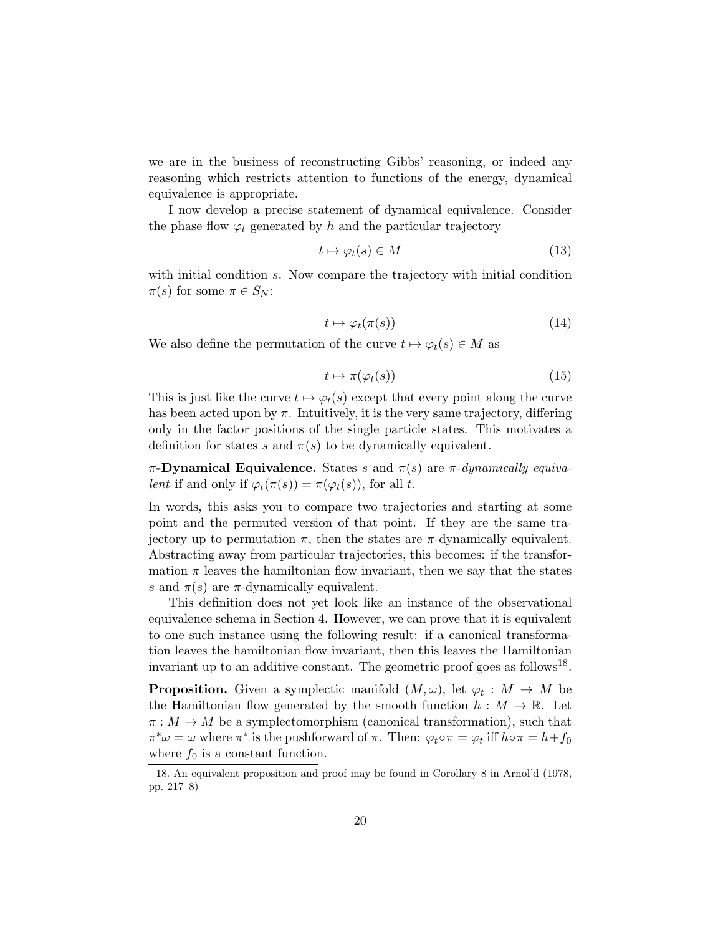we are in the business of reconstructing Gibbs' reasoning, or indeed any reasoning which restricts attention to functions of the energy, dynamical equivalence is appropriate.

I now develop a precise statement of dynamical equivalence. Consider the phase flow  $\varphi_t$  generated by h and the particular trajectory

$$
t \mapsto \varphi_t(s) \in M \tag{13}
$$

with initial condition s. Now compare the trajectory with initial condition  $\pi(s)$  for some  $\pi \in S_N$ :

$$
t \mapsto \varphi_t(\pi(s)) \tag{14}
$$

We also define the permutation of the curve  $t \mapsto \varphi_t(s) \in M$  as

$$
t \mapsto \pi(\varphi_t(s)) \tag{15}
$$

This is just like the curve  $t \mapsto \varphi_t(s)$  except that every point along the curve has been acted upon by  $\pi$ . Intuitively, it is the very same trajectory, differing only in the factor positions of the single particle states. This motivates a definition for states s and  $\pi(s)$  to be dynamically equivalent.

π-Dynamical Equivalence. States s and  $\pi(s)$  are π-dynamically equivalent if and only if  $\varphi_t(\pi(s)) = \pi(\varphi_t(s))$ , for all t.

In words, this asks you to compare two trajectories and starting at some point and the permuted version of that point. If they are the same trajectory up to permutation  $\pi$ , then the states are  $\pi$ -dynamically equivalent. Abstracting away from particular trajectories, this becomes: if the transformation  $\pi$  leaves the hamiltonian flow invariant, then we say that the states s and  $\pi(s)$  are  $\pi$ -dynamically equivalent.

This definition does not yet look like an instance of the observational equivalence schema in Section 4. However, we can prove that it is equivalent to one such instance using the following result: if a canonical transformation leaves the hamiltonian flow invariant, then this leaves the Hamiltonian invariant up to an additive constant. The geometric proof goes as follows<sup>18</sup>.

**Proposition.** Given a symplectic manifold  $(M, \omega)$ , let  $\varphi_t : M \to M$  be the Hamiltonian flow generated by the smooth function  $h : M \to \mathbb{R}$ . Let  $\pi : M \to M$  be a symplectomorphism (canonical transformation), such that  $\pi^*\omega = \omega$  where  $\pi^*$  is the pushforward of  $\pi$ . Then:  $\varphi_t \circ \pi = \varphi_t$  iff  $h \circ \pi = h + f_0$ where  $f_0$  is a constant function.

<sup>18.</sup> An equivalent proposition and proof may be found in Corollary 8 in Arnol'd (1978, pp. 217–8)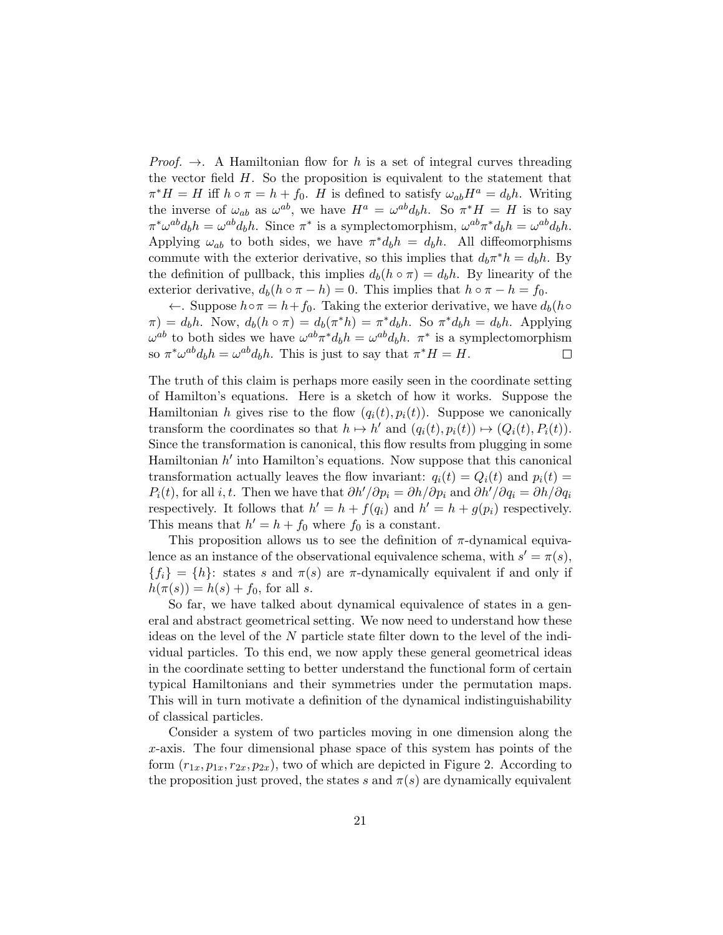*Proof.*  $\rightarrow$ . A Hamiltonian flow for h is a set of integral curves threading the vector field  $H$ . So the proposition is equivalent to the statement that  $\pi^* H = H$  iff  $h \circ \pi = h + f_0$ . H is defined to satisfy  $\omega_{ab} H^a = d_b h$ . Writing the inverse of  $\omega_{ab}$  as  $\omega^{ab}$ , we have  $H^a = \omega^{ab} d_b h$ . So  $\pi^* H = H$  is to say  $\pi^* \omega^{ab} d_b h = \omega^{ab} d_b h$ . Since  $\pi^*$  is a symplectomorphism,  $\omega^{ab} \pi^* d_b h = \omega^{ab} d_b h$ . Applying  $\omega_{ab}$  to both sides, we have  $\pi^* d_b h = d_b h$ . All diffeomorphisms commute with the exterior derivative, so this implies that  $d_b \pi^* h = d_b h$ . By the definition of pullback, this implies  $d_b(h \circ \pi) = d_b h$ . By linearity of the exterior derivative,  $d_b(h \circ \pi - h) = 0$ . This implies that  $h \circ \pi - h = f_0$ .

←. Suppose  $h \circ \pi = h + f_0$ . Taking the exterior derivative, we have  $d_b(h \circ$  $\pi$ ) =  $d_b h$ . Now,  $d_b(h \circ \pi) = d_b(\pi^* h) = \pi^* d_b h$ . So  $\pi^* d_b h = d_b h$ . Applying  $\omega^{ab}$  to both sides we have  $\omega^{ab}\pi^*d_bh = \omega^{ab}d_bh$ .  $\pi^*$  is a symplectomorphism so  $\pi^* \omega^{ab} d_b h = \omega^{ab} d_b h$ . This is just to say that  $\pi^* H = H$ .  $\Box$ 

The truth of this claim is perhaps more easily seen in the coordinate setting of Hamilton's equations. Here is a sketch of how it works. Suppose the Hamiltonian h gives rise to the flow  $(q_i(t), p_i(t))$ . Suppose we canonically transform the coordinates so that  $h \mapsto h'$  and  $(q_i(t), p_i(t)) \mapsto (Q_i(t), P_i(t)).$ Since the transformation is canonical, this flow results from plugging in some Hamiltonian  $h'$  into Hamilton's equations. Now suppose that this canonical transformation actually leaves the flow invariant:  $q_i(t) = Q_i(t)$  and  $p_i(t) =$  $P_i(t)$ , for all *i*, *t*. Then we have that  $\partial h'/\partial p_i = \partial h/\partial p_i$  and  $\partial h'/\partial q_i = \partial h/\partial q_i$ respectively. It follows that  $h' = h + f(q_i)$  and  $h' = h + g(p_i)$  respectively. This means that  $h' = h + f_0$  where  $f_0$  is a constant.

This proposition allows us to see the definition of  $\pi$ -dynamical equivalence as an instance of the observational equivalence schema, with  $s' = \pi(s)$ ,  ${f_i} = {h}$ : states s and  $\pi(s)$  are  $\pi$ -dynamically equivalent if and only if  $h(\pi(s)) = h(s) + f_0$ , for all s.

So far, we have talked about dynamical equivalence of states in a general and abstract geometrical setting. We now need to understand how these ideas on the level of the N particle state filter down to the level of the individual particles. To this end, we now apply these general geometrical ideas in the coordinate setting to better understand the functional form of certain typical Hamiltonians and their symmetries under the permutation maps. This will in turn motivate a definition of the dynamical indistinguishability of classical particles.

Consider a system of two particles moving in one dimension along the x-axis. The four dimensional phase space of this system has points of the form  $(r_{1x}, p_{1x}, r_{2x}, p_{2x})$ , two of which are depicted in Figure 2. According to the proposition just proved, the states s and  $\pi(s)$  are dynamically equivalent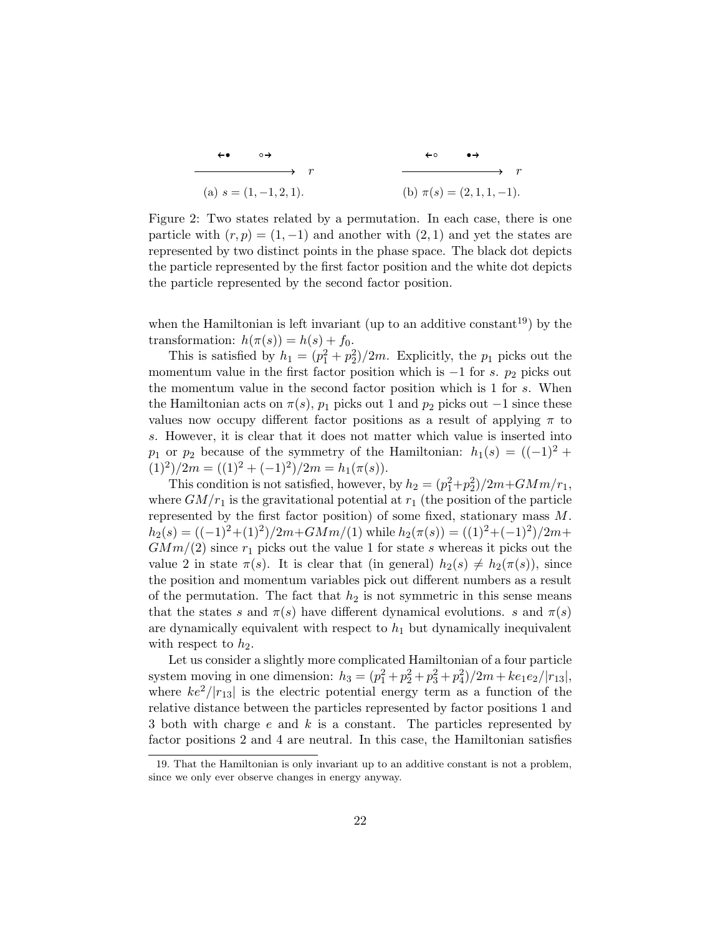$$
\begin{array}{cccc}\n\leftarrow & & \rightarrow & & & \rightarrow & & \\
\hline\n\leftarrow & & & \rightarrow & & \\
\hline\n\left( \text{a} \right) s = (1, -1, 2, 1).\n\end{array}
$$
\n
$$
\begin{array}{cccc}\n\leftarrow & & \rightarrow & & \rightarrow & \\
\hline\n\left( \text{b} \right) \pi(s) = (2, 1, 1, -1).\n\end{array}
$$

Figure 2: Two states related by a permutation. In each case, there is one particle with  $(r, p) = (1, -1)$  and another with  $(2, 1)$  and yet the states are represented by two distinct points in the phase space. The black dot depicts the particle represented by the first factor position and the white dot depicts the particle represented by the second factor position.

when the Hamiltonian is left invariant (up to an additive constant<sup>19</sup>) by the transformation:  $h(\pi(s)) = h(s) + f_0$ .

This is satisfied by  $h_1 = (p_1^2 + p_2^2)/2m$ . Explicitly, the  $p_1$  picks out the momentum value in the first factor position which is  $-1$  for s.  $p_2$  picks out the momentum value in the second factor position which is 1 for s. When the Hamiltonian acts on  $\pi(s)$ ,  $p_1$  picks out 1 and  $p_2$  picks out −1 since these values now occupy different factor positions as a result of applying  $\pi$  to s. However, it is clear that it does not matter which value is inserted into p<sub>1</sub> or p<sub>2</sub> because of the symmetry of the Hamiltonian:  $h_1(s) = ((-1)^2 +$  $(1)^2)/2m = ((1)^2 + (-1)^2)/2m = h_1(\pi(s)).$ 

This condition is not satisfied, however, by  $h_2 = (p_1^2 + p_2^2)/2m + GMm/r_1$ , where  $GM/r_1$  is the gravitational potential at  $r_1$  (the position of the particle represented by the first factor position) of some fixed, stationary mass  $M$ .  $h_2(s) = ((-1)^2 + (1)^2)/2m + GMm/(1)$  while  $h_2(\pi(s)) = ((1)^2 + (-1)^2)/2m +$  $GMm/(2)$  since  $r_1$  picks out the value 1 for state s whereas it picks out the value 2 in state  $\pi(s)$ . It is clear that (in general)  $h_2(s) \neq h_2(\pi(s))$ , since the position and momentum variables pick out different numbers as a result of the permutation. The fact that  $h_2$  is not symmetric in this sense means that the states s and  $\pi(s)$  have different dynamical evolutions. s and  $\pi(s)$ are dynamically equivalent with respect to  $h_1$  but dynamically inequivalent with respect to  $h_2$ .

Let us consider a slightly more complicated Hamiltonian of a four particle system moving in one dimension:  $h_3 = (p_1^2 + p_2^2 + p_3^2 + p_4^2)/2m + ke_1e_2/|r_{13}|$ , where  $ke^2/|r_{13}|$  is the electric potential energy term as a function of the relative distance between the particles represented by factor positions 1 and 3 both with charge  $e$  and  $k$  is a constant. The particles represented by factor positions 2 and 4 are neutral. In this case, the Hamiltonian satisfies

<sup>19.</sup> That the Hamiltonian is only invariant up to an additive constant is not a problem, since we only ever observe changes in energy anyway.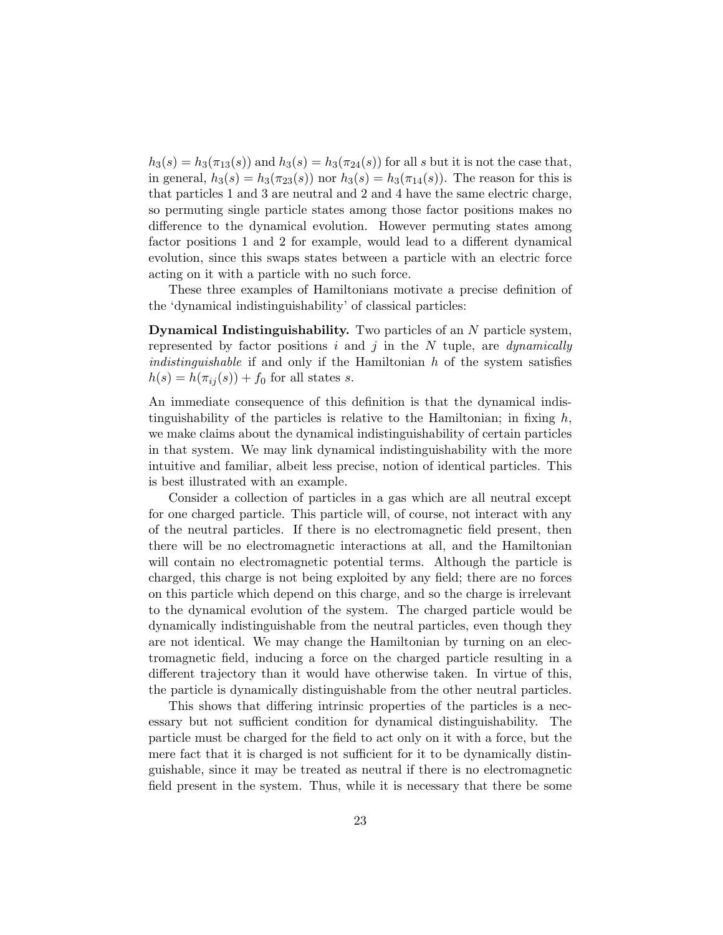$h_3(s) = h_3(\pi_{13}(s))$  and  $h_3(s) = h_3(\pi_{24}(s))$  for all s but it is not the case that, in general,  $h_3(s) = h_3(\pi_{23}(s))$  nor  $h_3(s) = h_3(\pi_{14}(s))$ . The reason for this is that particles 1 and 3 are neutral and 2 and 4 have the same electric charge, so permuting single particle states among those factor positions makes no difference to the dynamical evolution. However permuting states among factor positions 1 and 2 for example, would lead to a different dynamical evolution, since this swaps states between a particle with an electric force acting on it with a particle with no such force.

These three examples of Hamiltonians motivate a precise definition of the 'dynamical indistinguishability' of classical particles:

Dynamical Indistinguishability. Two particles of an N particle system, represented by factor positions i and j in the N tuple, are *dynamically indistinguishable* if and only if the Hamiltonian  $h$  of the system satisfies  $h(s) = h(\pi_{ij}(s)) + f_0$  for all states s.

An immediate consequence of this definition is that the dynamical indistinguishability of the particles is relative to the Hamiltonian; in fixing  $h$ , we make claims about the dynamical indistinguishability of certain particles in that system. We may link dynamical indistinguishability with the more intuitive and familiar, albeit less precise, notion of identical particles. This is best illustrated with an example.

Consider a collection of particles in a gas which are all neutral except for one charged particle. This particle will, of course, not interact with any of the neutral particles. If there is no electromagnetic field present, then there will be no electromagnetic interactions at all, and the Hamiltonian will contain no electromagnetic potential terms. Although the particle is charged, this charge is not being exploited by any field; there are no forces on this particle which depend on this charge, and so the charge is irrelevant to the dynamical evolution of the system. The charged particle would be dynamically indistinguishable from the neutral particles, even though they are not identical. We may change the Hamiltonian by turning on an electromagnetic field, inducing a force on the charged particle resulting in a different trajectory than it would have otherwise taken. In virtue of this, the particle is dynamically distinguishable from the other neutral particles.

This shows that differing intrinsic properties of the particles is a necessary but not sufficient condition for dynamical distinguishability. The particle must be charged for the field to act only on it with a force, but the mere fact that it is charged is not sufficient for it to be dynamically distinguishable, since it may be treated as neutral if there is no electromagnetic field present in the system. Thus, while it is necessary that there be some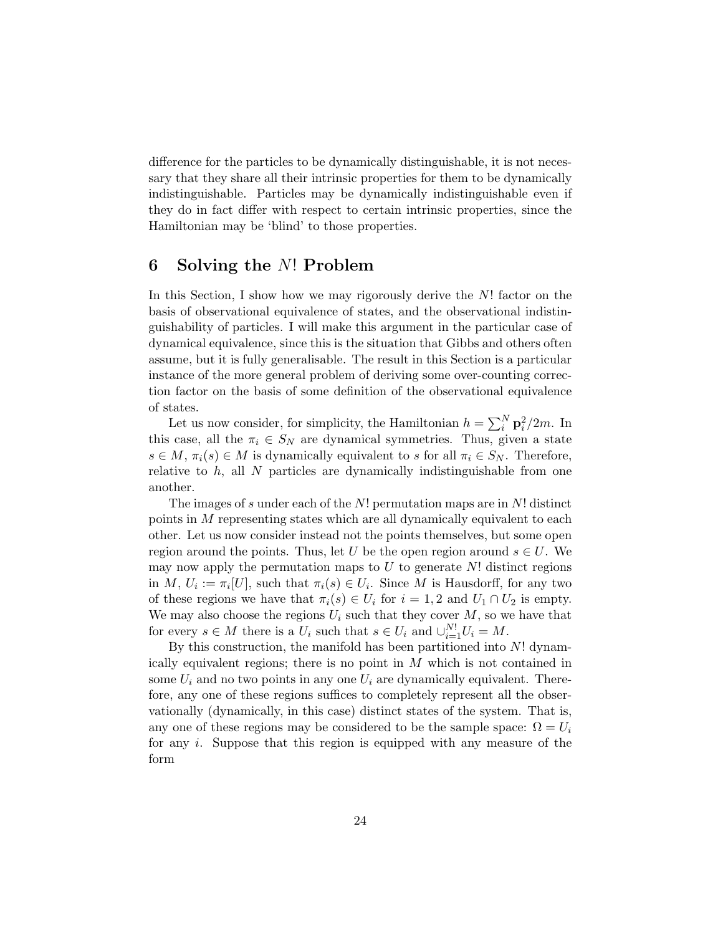difference for the particles to be dynamically distinguishable, it is not necessary that they share all their intrinsic properties for them to be dynamically indistinguishable. Particles may be dynamically indistinguishable even if they do in fact differ with respect to certain intrinsic properties, since the Hamiltonian may be 'blind' to those properties.

## 6 Solving the N! Problem

In this Section, I show how we may rigorously derive the N! factor on the basis of observational equivalence of states, and the observational indistinguishability of particles. I will make this argument in the particular case of dynamical equivalence, since this is the situation that Gibbs and others often assume, but it is fully generalisable. The result in this Section is a particular instance of the more general problem of deriving some over-counting correction factor on the basis of some definition of the observational equivalence of states.

Let us now consider, for simplicity, the Hamiltonian  $h = \sum_{i=1}^{N} \mathbf{p}_i^2/2m$ . In this case, all the  $\pi_i \in S_N$  are dynamical symmetries. Thus, given a state  $s \in M$ ,  $\pi_i(s) \in M$  is dynamically equivalent to s for all  $\pi_i \in S_N$ . Therefore, relative to  $h$ , all N particles are dynamically indistinguishable from one another.

The images of s under each of the  $N!$  permutation maps are in  $N!$  distinct points in M representing states which are all dynamically equivalent to each other. Let us now consider instead not the points themselves, but some open region around the points. Thus, let U be the open region around  $s \in U$ . We may now apply the permutation maps to  $U$  to generate  $N!$  distinct regions in M,  $U_i := \pi_i[U]$ , such that  $\pi_i(s) \in U_i$ . Since M is Hausdorff, for any two of these regions we have that  $\pi_i(s) \in U_i$  for  $i = 1, 2$  and  $U_1 \cap U_2$  is empty. We may also choose the regions  $U_i$  such that they cover  $M$ , so we have that for every  $s \in M$  there is a  $U_i$  such that  $s \in U_i$  and  $\cup_{i=1}^{N!} U_i = M$ .

By this construction, the manifold has been partitioned into N! dynamically equivalent regions; there is no point in M which is not contained in some  $U_i$  and no two points in any one  $U_i$  are dynamically equivalent. Therefore, any one of these regions suffices to completely represent all the observationally (dynamically, in this case) distinct states of the system. That is, any one of these regions may be considered to be the sample space:  $\Omega = U_i$ for any i. Suppose that this region is equipped with any measure of the form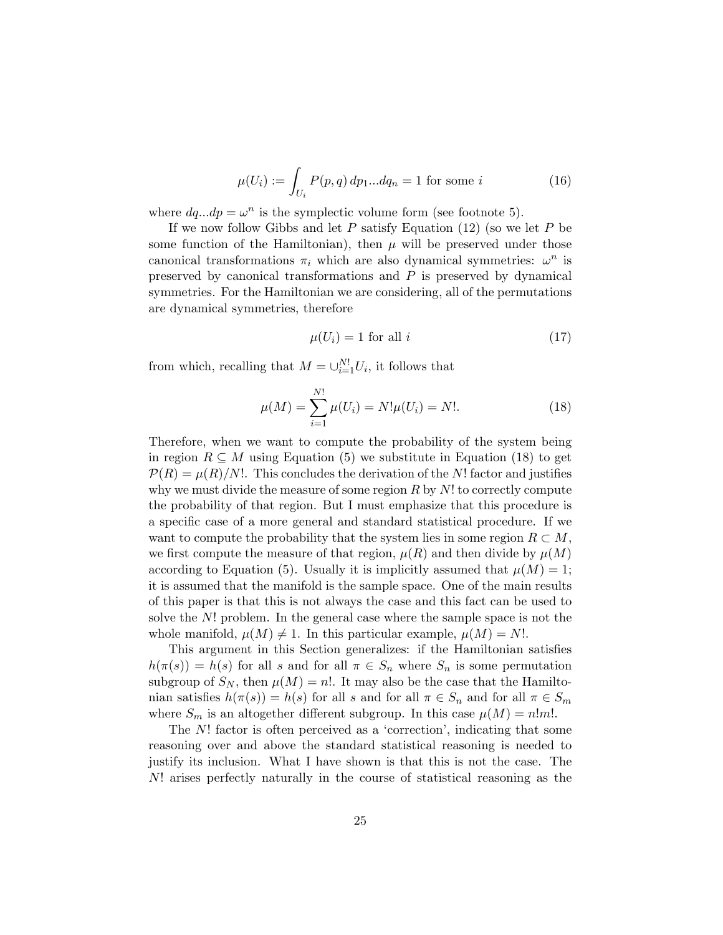$$
\mu(U_i) := \int_{U_i} P(p, q) \, dp_1 \dots dq_n = 1 \text{ for some } i \tag{16}
$$

where  $dq...dp = \omega^n$  is the symplectic volume form (see footnote 5).

If we now follow Gibbs and let  $P$  satisfy Equation (12) (so we let  $P$  be some function of the Hamiltonian), then  $\mu$  will be preserved under those canonical transformations  $\pi_i$  which are also dynamical symmetries:  $\omega^n$  is preserved by canonical transformations and  $P$  is preserved by dynamical symmetries. For the Hamiltonian we are considering, all of the permutations are dynamical symmetries, therefore

$$
\mu(U_i) = 1 \text{ for all } i \tag{17}
$$

from which, recalling that  $M = \bigcup_{i=1}^{N!} U_i$ , it follows that

$$
\mu(M) = \sum_{i=1}^{N!} \mu(U_i) = N! \mu(U_i) = N!.
$$
\n(18)

Therefore, when we want to compute the probability of the system being in region  $R \subseteq M$  using Equation (5) we substitute in Equation (18) to get  $\mathcal{P}(R) = \mu(R)/N!$ . This concludes the derivation of the N! factor and justifies why we must divide the measure of some region  $R$  by  $N!$  to correctly compute the probability of that region. But I must emphasize that this procedure is a specific case of a more general and standard statistical procedure. If we want to compute the probability that the system lies in some region  $R \subset M$ , we first compute the measure of that region,  $\mu(R)$  and then divide by  $\mu(M)$ according to Equation (5). Usually it is implicitly assumed that  $\mu(M) = 1$ ; it is assumed that the manifold is the sample space. One of the main results of this paper is that this is not always the case and this fact can be used to solve the N! problem. In the general case where the sample space is not the whole manifold,  $\mu(M) \neq 1$ . In this particular example,  $\mu(M) = N!$ .

This argument in this Section generalizes: if the Hamiltonian satisfies  $h(\pi(s)) = h(s)$  for all s and for all  $\pi \in S_n$  where  $S_n$  is some permutation subgroup of  $S_N$ , then  $\mu(M) = n!$ . It may also be the case that the Hamiltonian satisfies  $h(\pi(s)) = h(s)$  for all s and for all  $\pi \in S_n$  and for all  $\pi \in S_m$ where  $S_m$  is an altogether different subgroup. In this case  $\mu(M) = n!m!$ .

The N! factor is often perceived as a 'correction', indicating that some reasoning over and above the standard statistical reasoning is needed to justify its inclusion. What I have shown is that this is not the case. The N! arises perfectly naturally in the course of statistical reasoning as the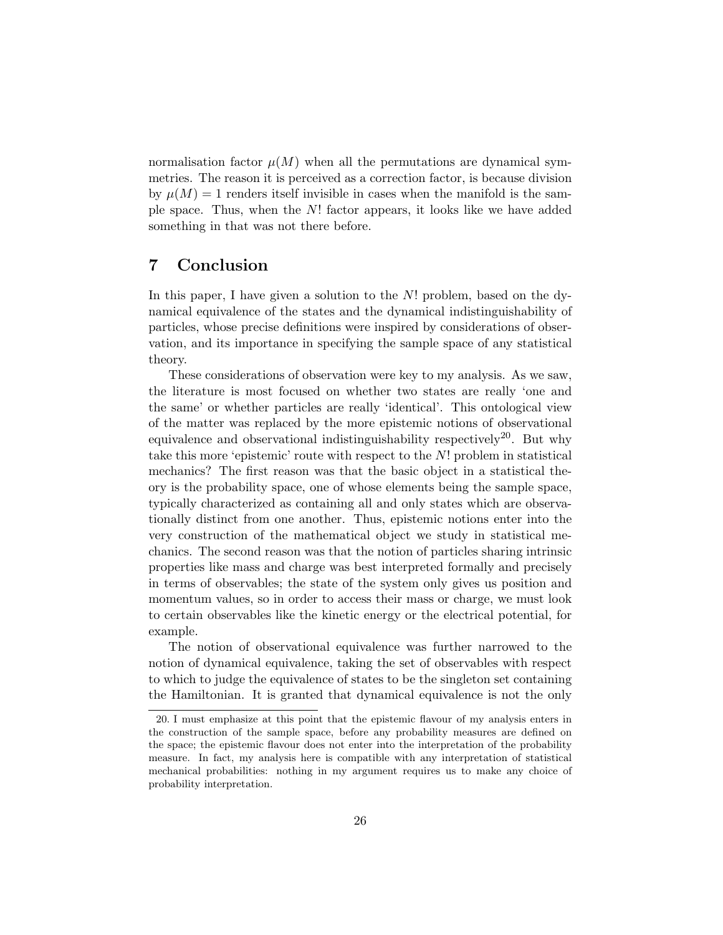normalisation factor  $\mu(M)$  when all the permutations are dynamical symmetries. The reason it is perceived as a correction factor, is because division by  $\mu(M) = 1$  renders itself invisible in cases when the manifold is the sample space. Thus, when the N! factor appears, it looks like we have added something in that was not there before.

## 7 Conclusion

In this paper, I have given a solution to the  $N!$  problem, based on the dynamical equivalence of the states and the dynamical indistinguishability of particles, whose precise definitions were inspired by considerations of observation, and its importance in specifying the sample space of any statistical theory.

These considerations of observation were key to my analysis. As we saw, the literature is most focused on whether two states are really 'one and the same' or whether particles are really 'identical'. This ontological view of the matter was replaced by the more epistemic notions of observational equivalence and observational indistinguishability respectively<sup>20</sup>. But why take this more 'epistemic' route with respect to the  $N!$ ! problem in statistical mechanics? The first reason was that the basic object in a statistical theory is the probability space, one of whose elements being the sample space, typically characterized as containing all and only states which are observationally distinct from one another. Thus, epistemic notions enter into the very construction of the mathematical object we study in statistical mechanics. The second reason was that the notion of particles sharing intrinsic properties like mass and charge was best interpreted formally and precisely in terms of observables; the state of the system only gives us position and momentum values, so in order to access their mass or charge, we must look to certain observables like the kinetic energy or the electrical potential, for example.

The notion of observational equivalence was further narrowed to the notion of dynamical equivalence, taking the set of observables with respect to which to judge the equivalence of states to be the singleton set containing the Hamiltonian. It is granted that dynamical equivalence is not the only

<sup>20.</sup> I must emphasize at this point that the epistemic flavour of my analysis enters in the construction of the sample space, before any probability measures are defined on the space; the epistemic flavour does not enter into the interpretation of the probability measure. In fact, my analysis here is compatible with any interpretation of statistical mechanical probabilities: nothing in my argument requires us to make any choice of probability interpretation.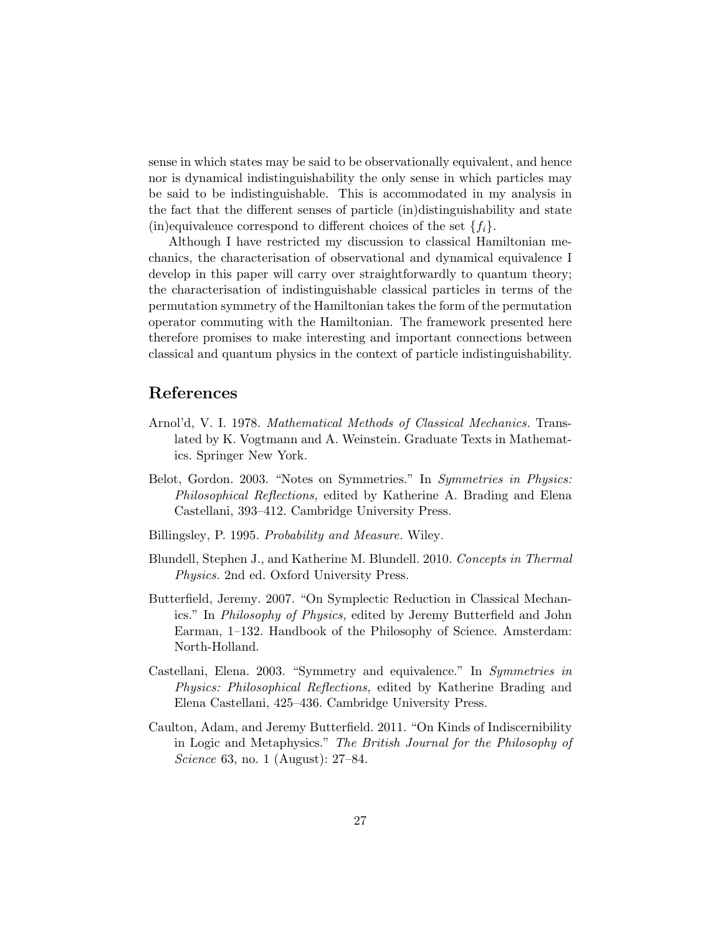sense in which states may be said to be observationally equivalent, and hence nor is dynamical indistinguishability the only sense in which particles may be said to be indistinguishable. This is accommodated in my analysis in the fact that the different senses of particle (in)distinguishability and state (in)equivalence correspond to different choices of the set  $\{f_i\}$ .

Although I have restricted my discussion to classical Hamiltonian mechanics, the characterisation of observational and dynamical equivalence I develop in this paper will carry over straightforwardly to quantum theory; the characterisation of indistinguishable classical particles in terms of the permutation symmetry of the Hamiltonian takes the form of the permutation operator commuting with the Hamiltonian. The framework presented here therefore promises to make interesting and important connections between classical and quantum physics in the context of particle indistinguishability.

### References

- Arnol'd, V. I. 1978. Mathematical Methods of Classical Mechanics. Translated by K. Vogtmann and A. Weinstein. Graduate Texts in Mathematics. Springer New York.
- Belot, Gordon. 2003. "Notes on Symmetries." In Symmetries in Physics: Philosophical Reflections, edited by Katherine A. Brading and Elena Castellani, 393–412. Cambridge University Press.
- Billingsley, P. 1995. Probability and Measure. Wiley.
- Blundell, Stephen J., and Katherine M. Blundell. 2010. Concepts in Thermal Physics. 2nd ed. Oxford University Press.
- Butterfield, Jeremy. 2007. "On Symplectic Reduction in Classical Mechanics." In Philosophy of Physics, edited by Jeremy Butterfield and John Earman, 1–132. Handbook of the Philosophy of Science. Amsterdam: North-Holland.
- Castellani, Elena. 2003. "Symmetry and equivalence." In Symmetries in Physics: Philosophical Reflections, edited by Katherine Brading and Elena Castellani, 425–436. Cambridge University Press.
- Caulton, Adam, and Jeremy Butterfield. 2011. "On Kinds of Indiscernibility in Logic and Metaphysics." The British Journal for the Philosophy of Science 63, no. 1 (August): 27–84.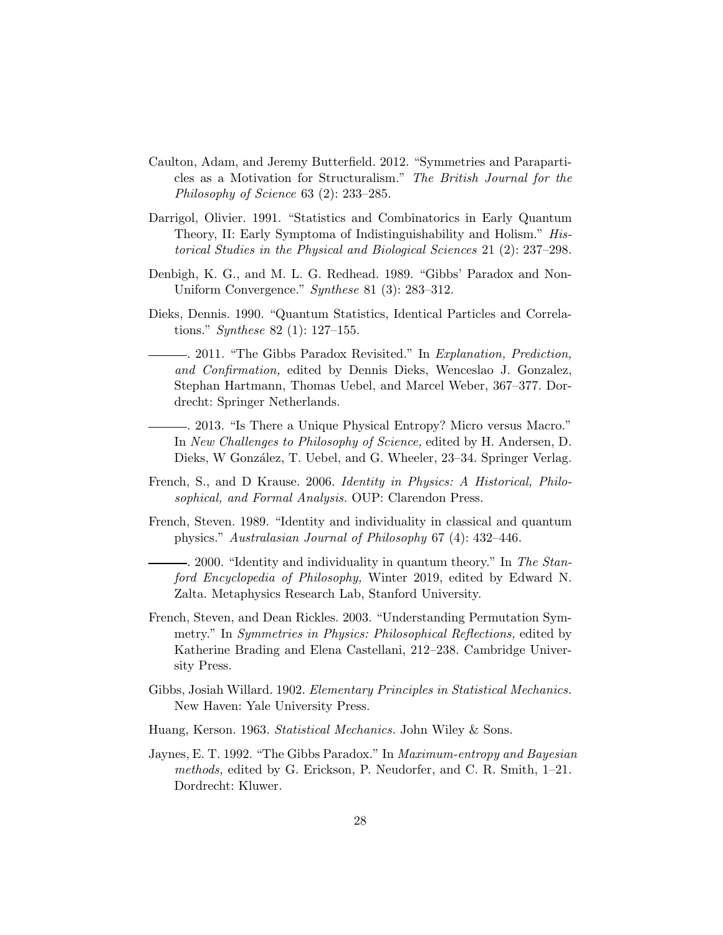- Caulton, Adam, and Jeremy Butterfield. 2012. "Symmetries and Paraparticles as a Motivation for Structuralism." The British Journal for the Philosophy of Science 63 (2): 233–285.
- Darrigol, Olivier. 1991. "Statistics and Combinatorics in Early Quantum Theory, II: Early Symptoma of Indistinguishability and Holism." Historical Studies in the Physical and Biological Sciences 21 (2): 237–298.
- Denbigh, K. G., and M. L. G. Redhead. 1989. "Gibbs' Paradox and Non-Uniform Convergence." Synthese 81 (3): 283–312.
- Dieks, Dennis. 1990. "Quantum Statistics, Identical Particles and Correlations." Synthese 82 (1): 127–155.
- . 2011. "The Gibbs Paradox Revisited." In Explanation, Prediction, and Confirmation, edited by Dennis Dieks, Wenceslao J. Gonzalez, Stephan Hartmann, Thomas Uebel, and Marcel Weber, 367–377. Dordrecht: Springer Netherlands.
- . 2013. "Is There a Unique Physical Entropy? Micro versus Macro." In New Challenges to Philosophy of Science, edited by H. Andersen, D. Dieks, W González, T. Uebel, and G. Wheeler, 23–34. Springer Verlag.
- French, S., and D Krause. 2006. Identity in Physics: A Historical, Philosophical, and Formal Analysis. OUP: Clarendon Press.
- French, Steven. 1989. "Identity and individuality in classical and quantum physics." Australasian Journal of Philosophy 67 (4): 432–446.

- 2000. "Identity and individuality in quantum theory." In The Stanford Encyclopedia of Philosophy, Winter 2019, edited by Edward N. Zalta. Metaphysics Research Lab, Stanford University.

- French, Steven, and Dean Rickles. 2003. "Understanding Permutation Symmetry." In *Symmetries in Physics: Philosophical Reflections*, edited by Katherine Brading and Elena Castellani, 212–238. Cambridge University Press.
- Gibbs, Josiah Willard. 1902. Elementary Principles in Statistical Mechanics. New Haven: Yale University Press.
- Huang, Kerson. 1963. Statistical Mechanics. John Wiley & Sons.
- Jaynes, E. T. 1992. "The Gibbs Paradox." In Maximum-entropy and Bayesian methods, edited by G. Erickson, P. Neudorfer, and C. R. Smith, 1–21. Dordrecht: Kluwer.